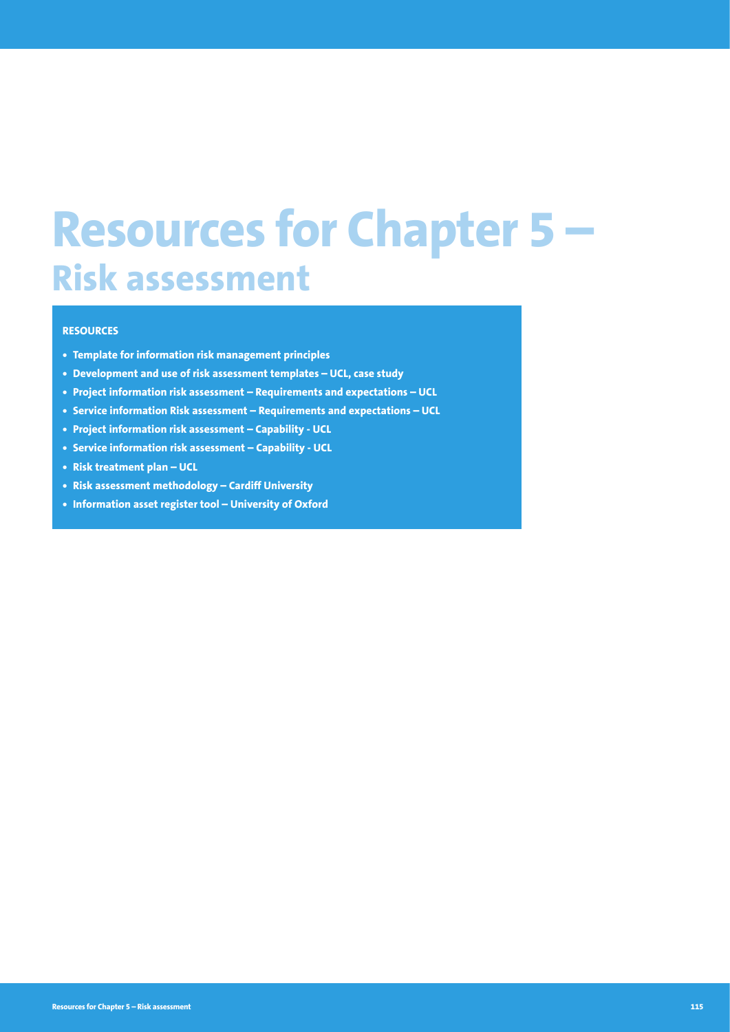# **Resources for Chapter 5 – Risk assessment**

#### **RESOURCES**

- **• Template for information risk management principles**
- **• Development and use of risk assessment templates UCL, case study**
- **• Project information risk assessment Requirements and expectations UCL**
- **• Service information Risk assessment Requirements and expectations UCL**
- **• Project information risk assessment Capability UCL**
- **• Service information risk assessment Capability UCL**
- **• Risk treatment plan UCL**
- **• Risk assessment methodology Cardiff University**
- **• Information asset register tool University of Oxford**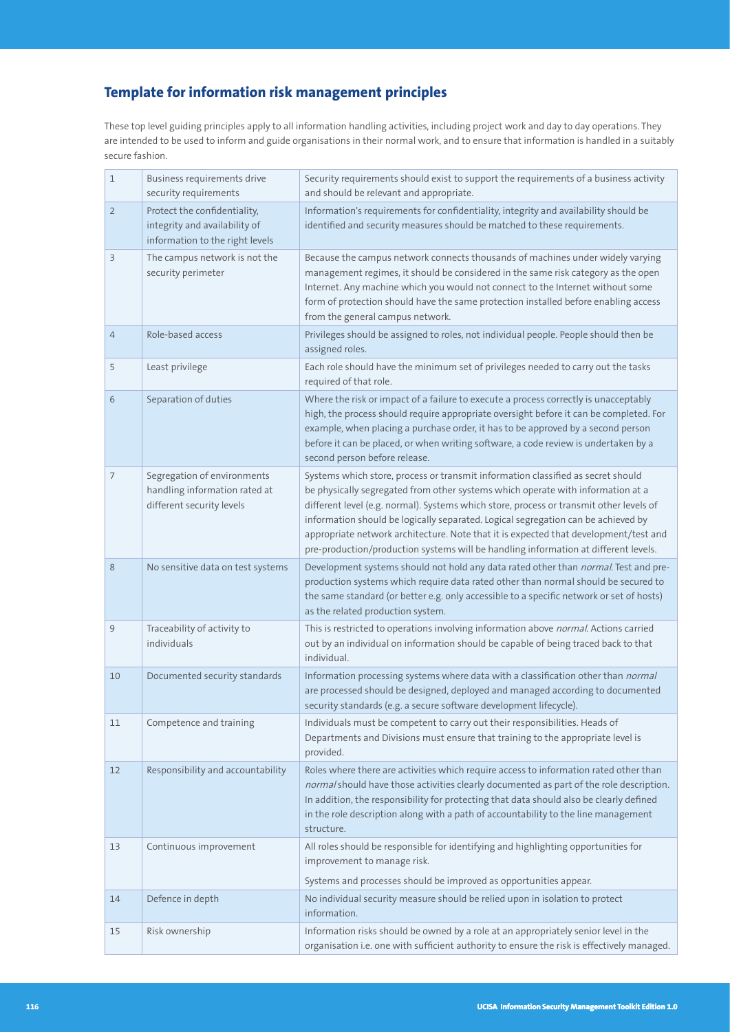# **Template for information risk management principles**

These top level guiding principles apply to all information handling activities, including project work and day to day operations. They are intended to be used to inform and guide organisations in their normal work, and to ensure that information is handled in a suitably secure fashion.

| $1\,$          | Business requirements drive<br>security requirements                                             | Security requirements should exist to support the requirements of a business activity<br>and should be relevant and appropriate.                                                                                                                                                                                                                                                                                                                                                                                                   |
|----------------|--------------------------------------------------------------------------------------------------|------------------------------------------------------------------------------------------------------------------------------------------------------------------------------------------------------------------------------------------------------------------------------------------------------------------------------------------------------------------------------------------------------------------------------------------------------------------------------------------------------------------------------------|
| $\overline{2}$ | Protect the confidentiality,<br>integrity and availability of<br>information to the right levels | Information's requirements for confidentiality, integrity and availability should be<br>identified and security measures should be matched to these requirements.                                                                                                                                                                                                                                                                                                                                                                  |
| 3              | The campus network is not the<br>security perimeter                                              | Because the campus network connects thousands of machines under widely varying<br>management regimes, it should be considered in the same risk category as the open<br>Internet. Any machine which you would not connect to the Internet without some<br>form of protection should have the same protection installed before enabling access<br>from the general campus network.                                                                                                                                                   |
| $\overline{4}$ | Role-based access                                                                                | Privileges should be assigned to roles, not individual people. People should then be<br>assigned roles.                                                                                                                                                                                                                                                                                                                                                                                                                            |
| 5              | Least privilege                                                                                  | Each role should have the minimum set of privileges needed to carry out the tasks<br>required of that role.                                                                                                                                                                                                                                                                                                                                                                                                                        |
| 6              | Separation of duties                                                                             | Where the risk or impact of a failure to execute a process correctly is unacceptably<br>high, the process should require appropriate oversight before it can be completed. For<br>example, when placing a purchase order, it has to be approved by a second person<br>before it can be placed, or when writing software, a code review is undertaken by a<br>second person before release.                                                                                                                                         |
| $\overline{7}$ | Segregation of environments<br>handling information rated at<br>different security levels        | Systems which store, process or transmit information classified as secret should<br>be physically segregated from other systems which operate with information at a<br>different level (e.g. normal). Systems which store, process or transmit other levels of<br>information should be logically separated. Logical segregation can be achieved by<br>appropriate network architecture. Note that it is expected that development/test and<br>pre-production/production systems will be handling information at different levels. |
| 8              | No sensitive data on test systems                                                                | Development systems should not hold any data rated other than normal. Test and pre-<br>production systems which require data rated other than normal should be secured to<br>the same standard (or better e.g. only accessible to a specific network or set of hosts)<br>as the related production system.                                                                                                                                                                                                                         |
| 9              | Traceability of activity to<br>individuals                                                       | This is restricted to operations involving information above normal. Actions carried<br>out by an individual on information should be capable of being traced back to that<br>individual.                                                                                                                                                                                                                                                                                                                                          |
| 10             | Documented security standards                                                                    | Information processing systems where data with a classification other than normal<br>are processed should be designed, deployed and managed according to documented<br>security standards (e.g. a secure software development lifecycle).                                                                                                                                                                                                                                                                                          |
| 11             | Competence and training                                                                          | Individuals must be competent to carry out their responsibilities. Heads of<br>Departments and Divisions must ensure that training to the appropriate level is<br>provided.                                                                                                                                                                                                                                                                                                                                                        |
| 12             | Responsibility and accountability                                                                | Roles where there are activities which require access to information rated other than<br>normal should have those activities clearly documented as part of the role description.<br>In addition, the responsibility for protecting that data should also be clearly defined<br>in the role description along with a path of accountability to the line management<br>structure.                                                                                                                                                    |
| 13             | Continuous improvement                                                                           | All roles should be responsible for identifying and highlighting opportunities for<br>improvement to manage risk.                                                                                                                                                                                                                                                                                                                                                                                                                  |
|                |                                                                                                  | Systems and processes should be improved as opportunities appear.                                                                                                                                                                                                                                                                                                                                                                                                                                                                  |
| 14             | Defence in depth                                                                                 | No individual security measure should be relied upon in isolation to protect<br>information.                                                                                                                                                                                                                                                                                                                                                                                                                                       |
| 15             | Risk ownership                                                                                   | Information risks should be owned by a role at an appropriately senior level in the<br>organisation i.e. one with sufficient authority to ensure the risk is effectively managed.                                                                                                                                                                                                                                                                                                                                                  |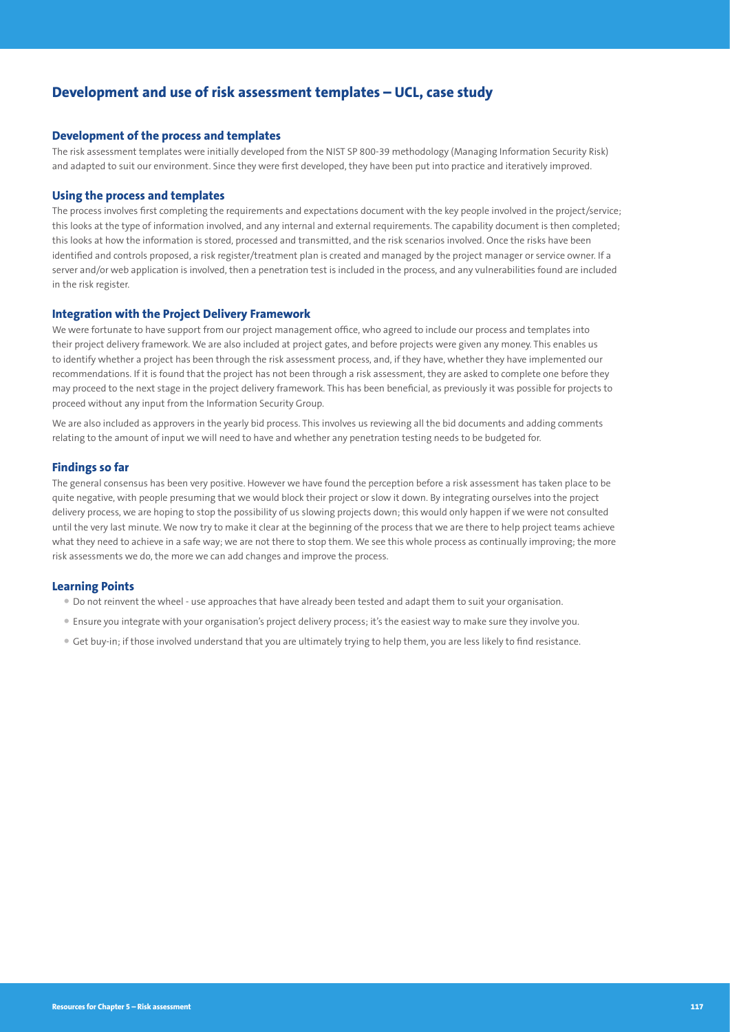# **Development and use of risk assessment templates – UCL, case study**

#### **Development of the process and templates**

The risk assessment templates were initially developed from the NIST SP 800-39 methodology (Managing Information Security Risk) and adapted to suit our environment. Since they were first developed, they have been put into practice and iteratively improved.

#### **Using the process and templates**

The process involves first completing the requirements and expectations document with the key people involved in the project/service; this looks at the type of information involved, and any internal and external requirements. The capability document is then completed; this looks at how the information is stored, processed and transmitted, and the risk scenarios involved. Once the risks have been identified and controls proposed, a risk register/treatment plan is created and managed by the project manager or service owner. If a server and/or web application is involved, then a penetration test is included in the process, and any vulnerabilities found are included in the risk register.

#### **Integration with the Project Delivery Framework**

We were fortunate to have support from our project management office, who agreed to include our process and templates into their project delivery framework. We are also included at project gates, and before projects were given any money. This enables us to identify whether a project has been through the risk assessment process, and, if they have, whether they have implemented our recommendations. If it is found that the project has not been through a risk assessment, they are asked to complete one before they may proceed to the next stage in the project delivery framework. This has been beneficial, as previously it was possible for projects to proceed without any input from the Information Security Group.

We are also included as approvers in the yearly bid process. This involves us reviewing all the bid documents and adding comments relating to the amount of input we will need to have and whether any penetration testing needs to be budgeted for.

#### **Findings so far**

The general consensus has been very positive. However we have found the perception before a risk assessment has taken place to be quite negative, with people presuming that we would block their project or slow it down. By integrating ourselves into the project delivery process, we are hoping to stop the possibility of us slowing projects down; this would only happen if we were not consulted until the very last minute. We now try to make it clear at the beginning of the process that we are there to help project teams achieve what they need to achieve in a safe way; we are not there to stop them. We see this whole process as continually improving; the more risk assessments we do, the more we can add changes and improve the process.

#### **Learning Points**

- Do not reinvent the wheel use approaches that have already been tested and adapt them to suit your organisation.
- Ensure you integrate with your organisation's project delivery process; it's the easiest way to make sure they involve you.
- Get buy-in; if those involved understand that you are ultimately trying to help them, you are less likely to find resistance.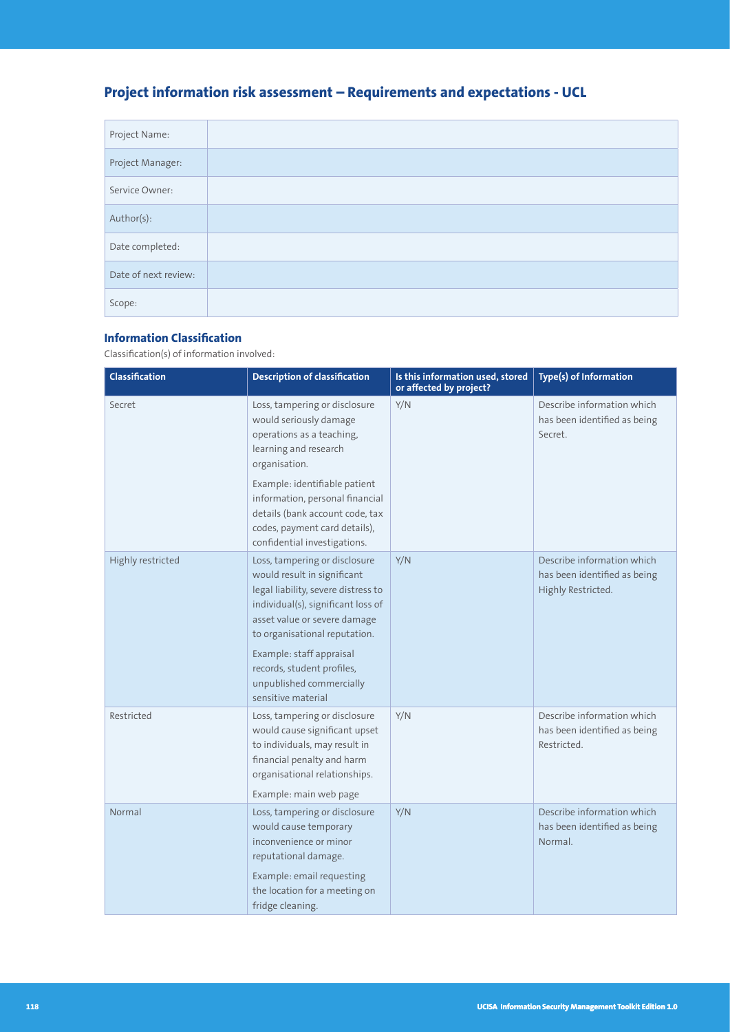# **Project information risk assessment – Requirements and expectations - UCL**

| Project Name:        |  |
|----------------------|--|
| Project Manager:     |  |
| Service Owner:       |  |
| Author(s):           |  |
| Date completed:      |  |
| Date of next review: |  |
| Scope:               |  |

# **Information Classification**

Classification(s) of information involved:

| Classification    | <b>Description of classification</b>                                                                                                                                                                                                                                                                                   | Is this information used, stored<br>or affected by project? | Type(s) of Information                                                           |
|-------------------|------------------------------------------------------------------------------------------------------------------------------------------------------------------------------------------------------------------------------------------------------------------------------------------------------------------------|-------------------------------------------------------------|----------------------------------------------------------------------------------|
| Secret            | Loss, tampering or disclosure<br>would seriously damage<br>operations as a teaching,<br>learning and research<br>organisation.<br>Example: identifiable patient<br>information, personal financial<br>details (bank account code, tax<br>codes, payment card details),<br>confidential investigations.                 | Y/N                                                         | Describe information which<br>has been identified as being<br>Secret.            |
| Highly restricted | Loss, tampering or disclosure<br>would result in significant<br>legal liability, severe distress to<br>individual(s), significant loss of<br>asset value or severe damage<br>to organisational reputation.<br>Example: staff appraisal<br>records, student profiles,<br>unpublished commercially<br>sensitive material | Y/N                                                         | Describe information which<br>has been identified as being<br>Highly Restricted. |
| Restricted        | Loss, tampering or disclosure<br>would cause significant upset<br>to individuals, may result in<br>financial penalty and harm<br>organisational relationships.<br>Example: main web page                                                                                                                               | Y/N                                                         | Describe information which<br>has been identified as being<br>Restricted.        |
| Normal            | Loss, tampering or disclosure<br>would cause temporary<br>inconvenience or minor<br>reputational damage.<br>Example: email requesting<br>the location for a meeting on<br>fridge cleaning.                                                                                                                             | Y/N                                                         | Describe information which<br>has been identified as being<br>Normal.            |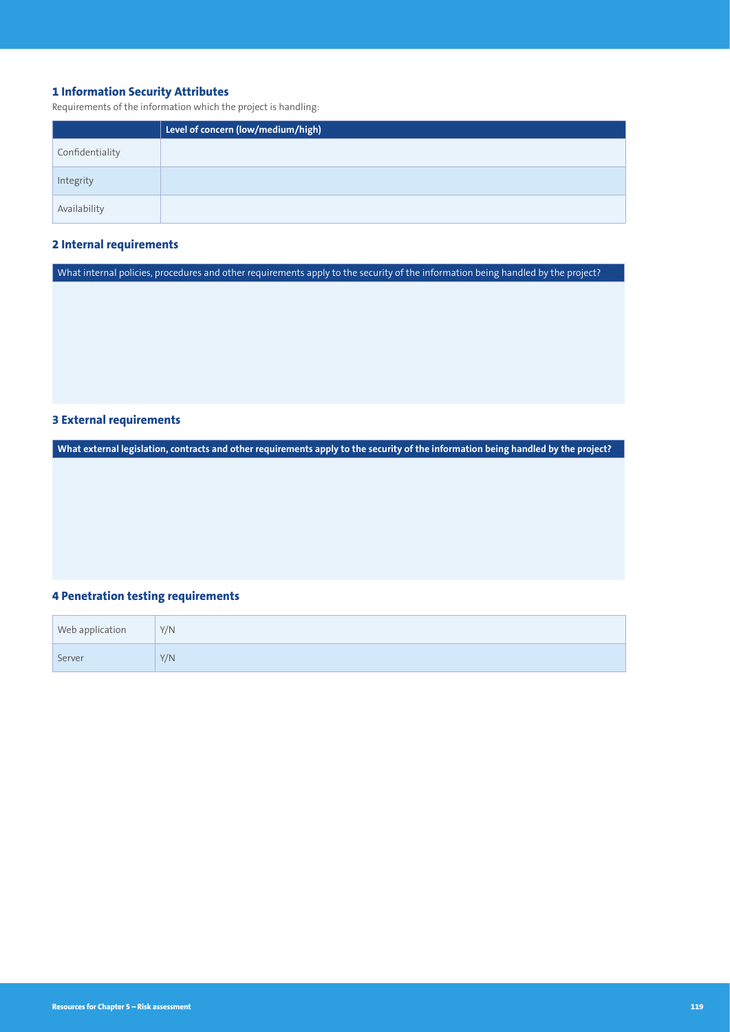# **1 Information Security Attributes**

Requirements of the information which the project is handling:

|                 | Level of concern (low/medium/high) |
|-----------------|------------------------------------|
| Confidentiality |                                    |
| Integrity       |                                    |
| Availability    |                                    |

## **2 Internal requirements**

What internal policies, procedures and other requirements apply to the security of the information being handled by the project?

# **3 External requirements**

**What external legislation, contracts and other requirements apply to the security of the information being handled by the project?**

# **4 Penetration testing requirements**

| Web application | Y/N |
|-----------------|-----|
| Server          | Y/N |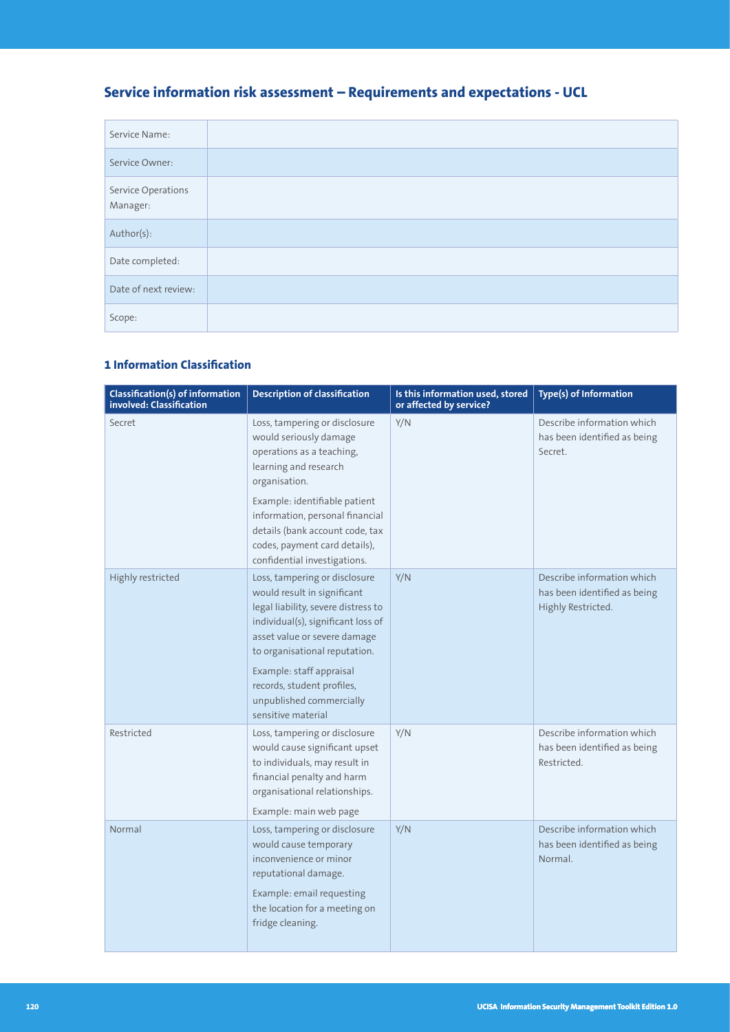# **Service information risk assessment – Requirements and expectations - UCL**

| Service Name:                  |  |
|--------------------------------|--|
| Service Owner:                 |  |
| Service Operations<br>Manager: |  |
| Author(s):                     |  |
| Date completed:                |  |
| Date of next review:           |  |
| Scope:                         |  |

# **1 Information Classification**

| <b>Classification(s) of information</b><br>involved: Classification | <b>Description of classification</b>                                                                                                                                                                                                                                                                                   | Is this information used, stored<br>or affected by service? | Type(s) of Information                                                           |
|---------------------------------------------------------------------|------------------------------------------------------------------------------------------------------------------------------------------------------------------------------------------------------------------------------------------------------------------------------------------------------------------------|-------------------------------------------------------------|----------------------------------------------------------------------------------|
| Secret                                                              | Loss, tampering or disclosure<br>would seriously damage<br>operations as a teaching,<br>learning and research<br>organisation.<br>Example: identifiable patient<br>information, personal financial<br>details (bank account code, tax<br>codes, payment card details),<br>confidential investigations.                 | Y/N                                                         | Describe information which<br>has been identified as being<br>Secret.            |
| Highly restricted                                                   | Loss, tampering or disclosure<br>would result in significant<br>legal liability, severe distress to<br>individual(s), significant loss of<br>asset value or severe damage<br>to organisational reputation.<br>Example: staff appraisal<br>records, student profiles,<br>unpublished commercially<br>sensitive material | Y/N                                                         | Describe information which<br>has been identified as being<br>Highly Restricted. |
| Restricted                                                          | Loss, tampering or disclosure<br>would cause significant upset<br>to individuals, may result in<br>financial penalty and harm<br>organisational relationships.<br>Example: main web page                                                                                                                               | Y/N                                                         | Describe information which<br>has been identified as being<br>Restricted.        |
| Normal                                                              | Loss, tampering or disclosure<br>would cause temporary<br>inconvenience or minor<br>reputational damage.<br>Example: email requesting<br>the location for a meeting on<br>fridge cleaning.                                                                                                                             | Y/N                                                         | Describe information which<br>has been identified as being<br>Normal.            |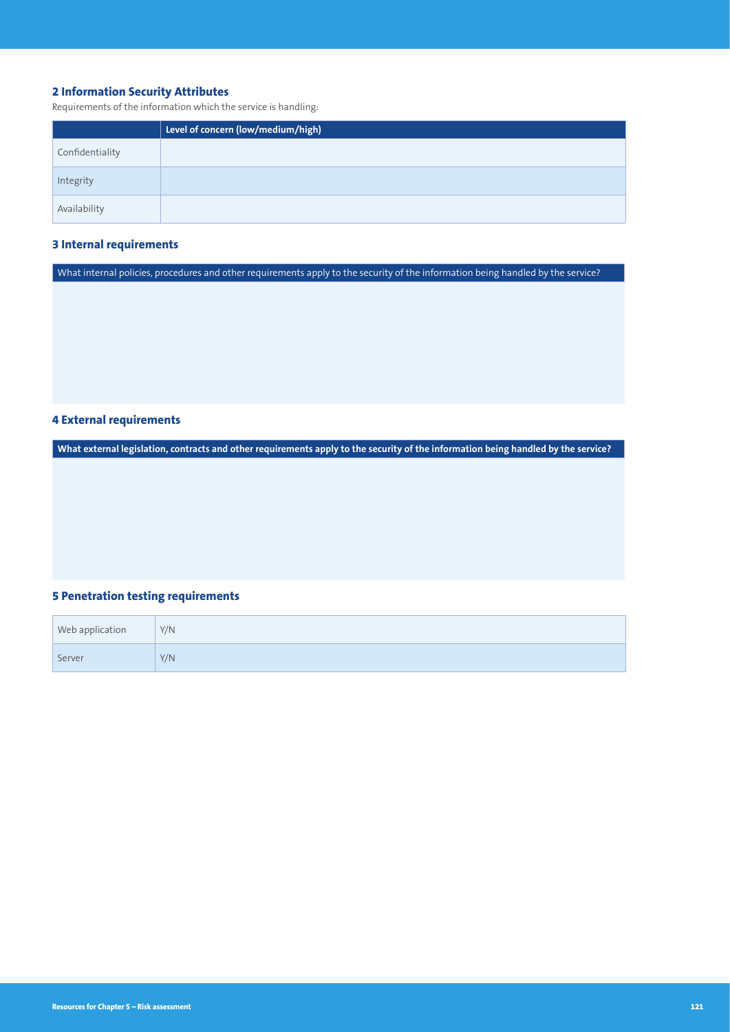# **2 Information Security Attributes**

Requirements of the information which the service is handling:

|                 | Level of concern (low/medium/high) |
|-----------------|------------------------------------|
| Confidentiality |                                    |
| Integrity       |                                    |
| Availability    |                                    |

## **3 Internal requirements**

What internal policies, procedures and other requirements apply to the security of the information being handled by the service?

# **4 External requirements**

**What external legislation, contracts and other requirements apply to the security of the information being handled by the service?**

# **5 Penetration testing requirements**

| Web application | Y/N |
|-----------------|-----|
| Server          | Y/N |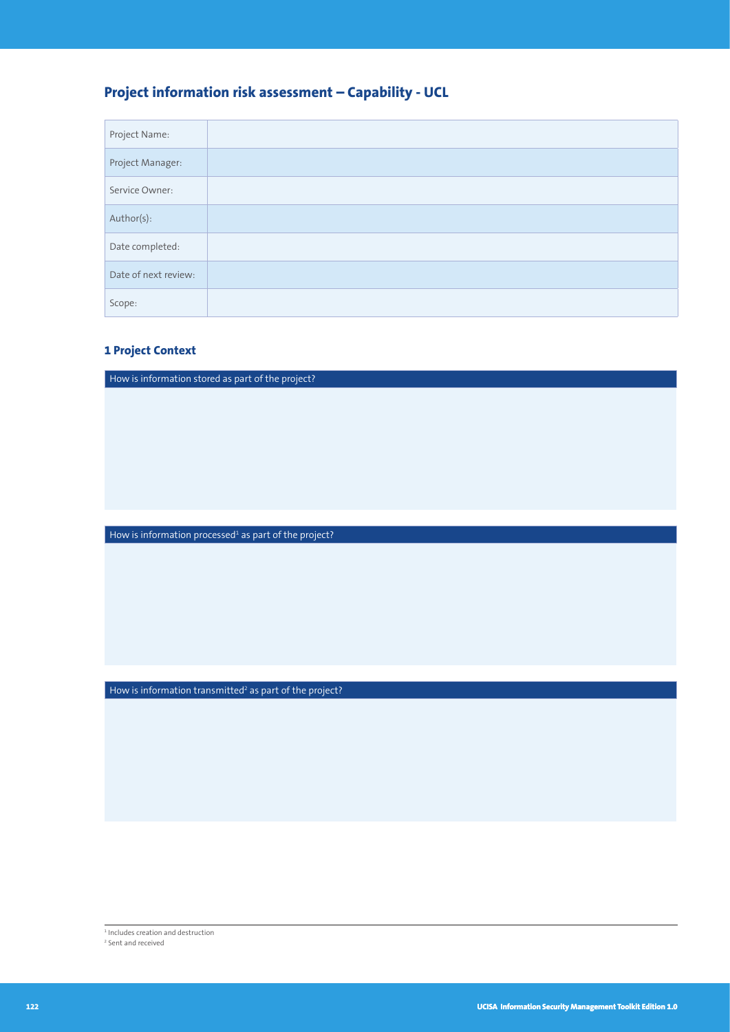# **Project information risk assessment – Capability - UCL**

| Project Name:        |  |
|----------------------|--|
| Project Manager:     |  |
| Service Owner:       |  |
| Author(s):           |  |
| Date completed:      |  |
| Date of next review: |  |
| Scope:               |  |

# **1 Project Context**

How is information stored as part of the project?

How is information processed<sup>1</sup> as part of the project?

How is information transmitted<sup>2</sup> as part of the project?

1 Includes creation and destruction

2 Sent and received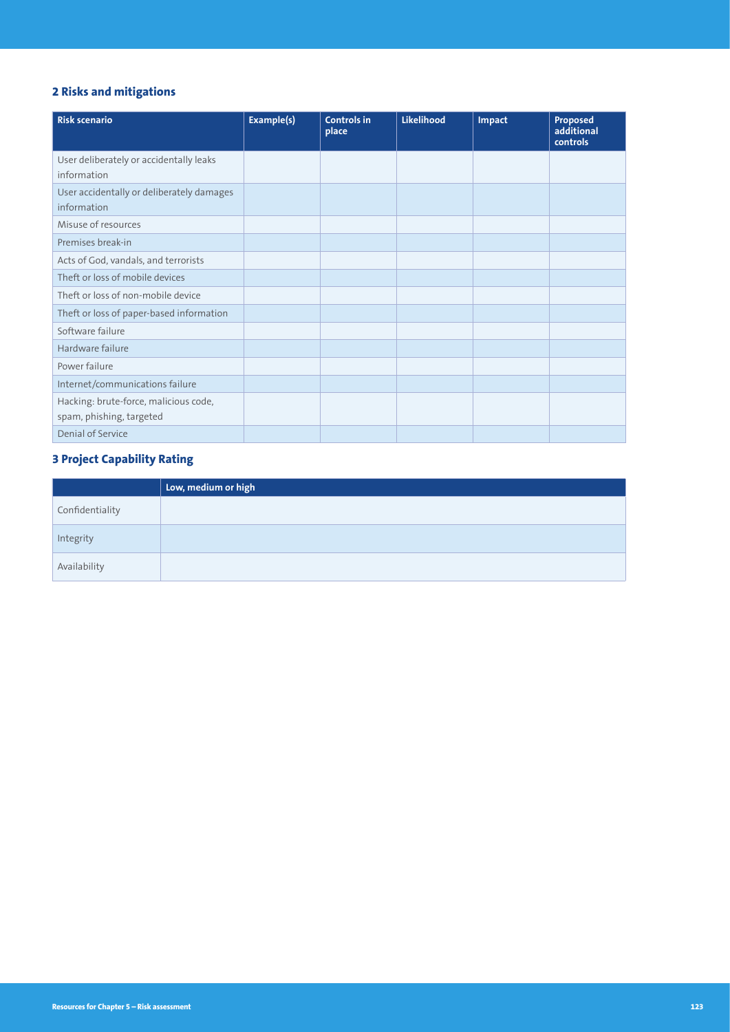# **2 Risks and mitigations**

| <b>Risk scenario</b>                                              | Example(s) | <b>Controls in</b><br>place | <b>Likelihood</b> | Impact | Proposed<br>additional<br>controls |
|-------------------------------------------------------------------|------------|-----------------------------|-------------------|--------|------------------------------------|
| User deliberately or accidentally leaks<br>information            |            |                             |                   |        |                                    |
| User accidentally or deliberately damages<br>information          |            |                             |                   |        |                                    |
| Misuse of resources                                               |            |                             |                   |        |                                    |
| Premises break-in                                                 |            |                             |                   |        |                                    |
| Acts of God, vandals, and terrorists                              |            |                             |                   |        |                                    |
| Theft or loss of mobile devices                                   |            |                             |                   |        |                                    |
| Theft or loss of non-mobile device                                |            |                             |                   |        |                                    |
| Theft or loss of paper-based information                          |            |                             |                   |        |                                    |
| Software failure                                                  |            |                             |                   |        |                                    |
| Hardware failure                                                  |            |                             |                   |        |                                    |
| Power failure                                                     |            |                             |                   |        |                                    |
| Internet/communications failure                                   |            |                             |                   |        |                                    |
| Hacking: brute-force, malicious code,<br>spam, phishing, targeted |            |                             |                   |        |                                    |
| Denial of Service                                                 |            |                             |                   |        |                                    |

# **3 Project Capability Rating**

|                 | Low, medium or high |
|-----------------|---------------------|
| Confidentiality |                     |
| Integrity       |                     |
| Availability    |                     |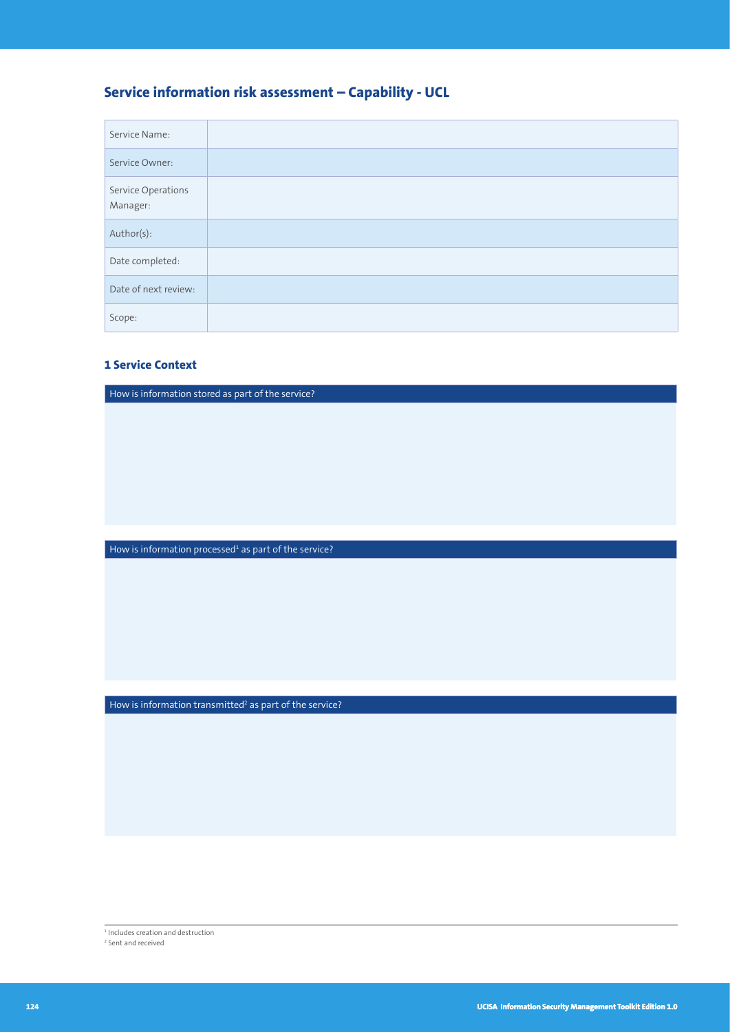# **Service information risk assessment – Capability - UCL**

| Service Name:                  |  |
|--------------------------------|--|
| Service Owner:                 |  |
| Service Operations<br>Manager: |  |
| Author(s):                     |  |
| Date completed:                |  |
| Date of next review:           |  |
| Scope:                         |  |

## **1 Service Context**

How is information stored as part of the service?

How is information processed<sup>1</sup> as part of the service?

How is information transmitted<sup>2</sup> as part of the service?

1 Includes creation and destruction

2 Sent and received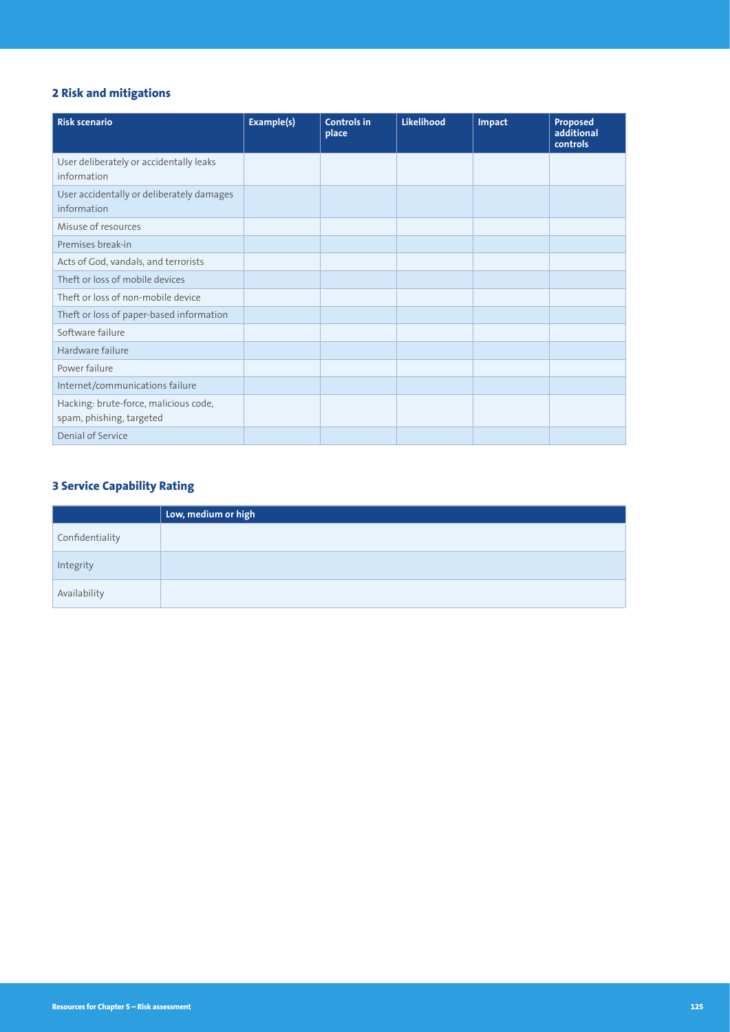# **2 Risk and mitigations**

| <b>Risk scenario</b>                                              | Example(s) | <b>Controls in</b><br>place | Likelihood | Impact | Proposed<br>additional<br>controls |
|-------------------------------------------------------------------|------------|-----------------------------|------------|--------|------------------------------------|
| User deliberately or accidentally leaks<br>information            |            |                             |            |        |                                    |
| User accidentally or deliberately damages<br>information          |            |                             |            |        |                                    |
| Misuse of resources                                               |            |                             |            |        |                                    |
| Premises break-in                                                 |            |                             |            |        |                                    |
| Acts of God, vandals, and terrorists                              |            |                             |            |        |                                    |
| Theft or loss of mobile devices                                   |            |                             |            |        |                                    |
| Theft or loss of non-mobile device                                |            |                             |            |        |                                    |
| Theft or loss of paper-based information                          |            |                             |            |        |                                    |
| Software failure                                                  |            |                             |            |        |                                    |
| Hardware failure                                                  |            |                             |            |        |                                    |
| Power failure                                                     |            |                             |            |        |                                    |
| Internet/communications failure                                   |            |                             |            |        |                                    |
| Hacking: brute-force, malicious code,<br>spam, phishing, targeted |            |                             |            |        |                                    |
| Denial of Service                                                 |            |                             |            |        |                                    |

# **3 Service Capability Rating**

|                 | Low, medium or high |
|-----------------|---------------------|
| Confidentiality |                     |
| Integrity       |                     |
| Availability    |                     |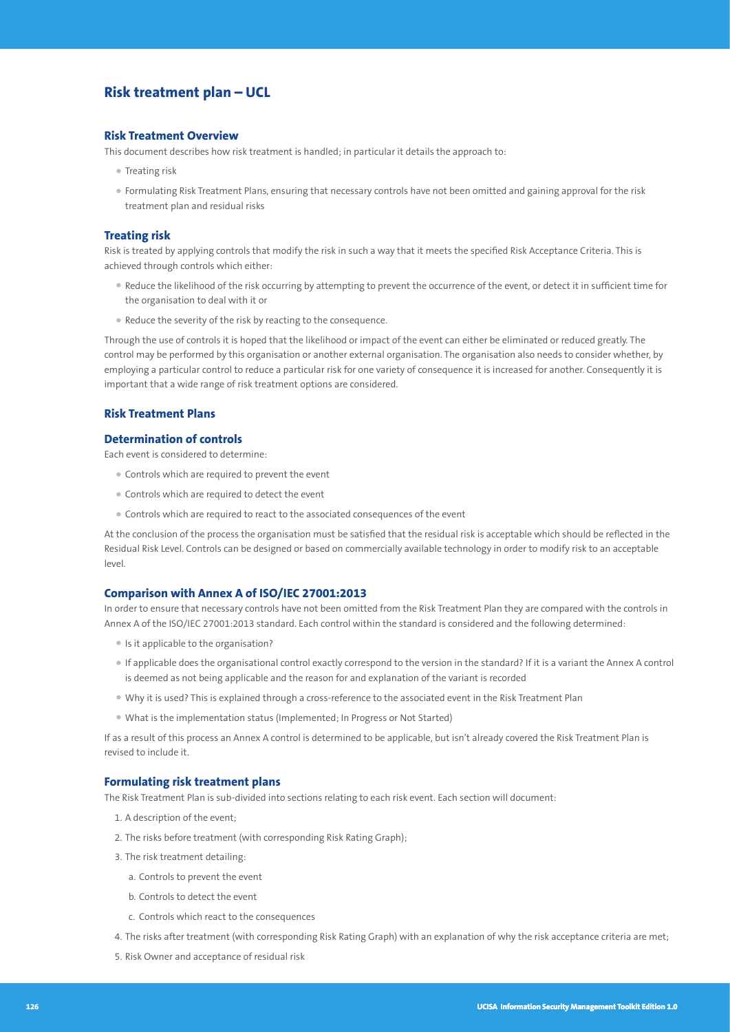# **Risk treatment plan – UCL**

#### **Risk Treatment Overview**

This document describes how risk treatment is handled; in particular it details the approach to:

- Treating risk
- Formulating Risk Treatment Plans, ensuring that necessary controls have not been omitted and gaining approval for the risk treatment plan and residual risks

#### **Treating risk**

Risk is treated by applying controls that modify the risk in such a way that it meets the specified Risk Acceptance Criteria. This is achieved through controls which either:

- Reduce the likelihood of the risk occurring by attempting to prevent the occurrence of the event, or detect it in sufficient time for the organisation to deal with it or
- Reduce the severity of the risk by reacting to the consequence.

Through the use of controls it is hoped that the likelihood or impact of the event can either be eliminated or reduced greatly. The control may be performed by this organisation or another external organisation. The organisation also needs to consider whether, by employing a particular control to reduce a particular risk for one variety of consequence it is increased for another. Consequently it is important that a wide range of risk treatment options are considered.

## **Risk Treatment Plans**

#### **Determination of controls**

Each event is considered to determine:

- Controls which are required to prevent the event
- Controls which are required to detect the event
- Controls which are required to react to the associated consequences of the event

At the conclusion of the process the organisation must be satisfied that the residual risk is acceptable which should be reflected in the Residual Risk Level. Controls can be designed or based on commercially available technology in order to modify risk to an acceptable level.

#### **Comparison with Annex A of ISO/IEC 27001:2013**

In order to ensure that necessary controls have not been omitted from the Risk Treatment Plan they are compared with the controls in Annex A of the ISO/IEC 27001:2013 standard. Each control within the standard is considered and the following determined:

- Is it applicable to the organisation?
- If applicable does the organisational control exactly correspond to the version in the standard? If it is a variant the Annex A control is deemed as not being applicable and the reason for and explanation of the variant is recorded
- Why it is used? This is explained through a cross-reference to the associated event in the Risk Treatment Plan
- What is the implementation status (Implemented; In Progress or Not Started)

If as a result of this process an Annex A control is determined to be applicable, but isn't already covered the Risk Treatment Plan is revised to include it.

#### **Formulating risk treatment plans**

The Risk Treatment Plan is sub-divided into sections relating to each risk event. Each section will document:

- 1. A description of the event;
- 2. The risks before treatment (with corresponding Risk Rating Graph);
- 3. The risk treatment detailing:
	- a. Controls to prevent the event
	- b. Controls to detect the event
	- c. Controls which react to the consequences
- 4. The risks after treatment (with corresponding Risk Rating Graph) with an explanation of why the risk acceptance criteria are met;
- 5. Risk Owner and acceptance of residual risk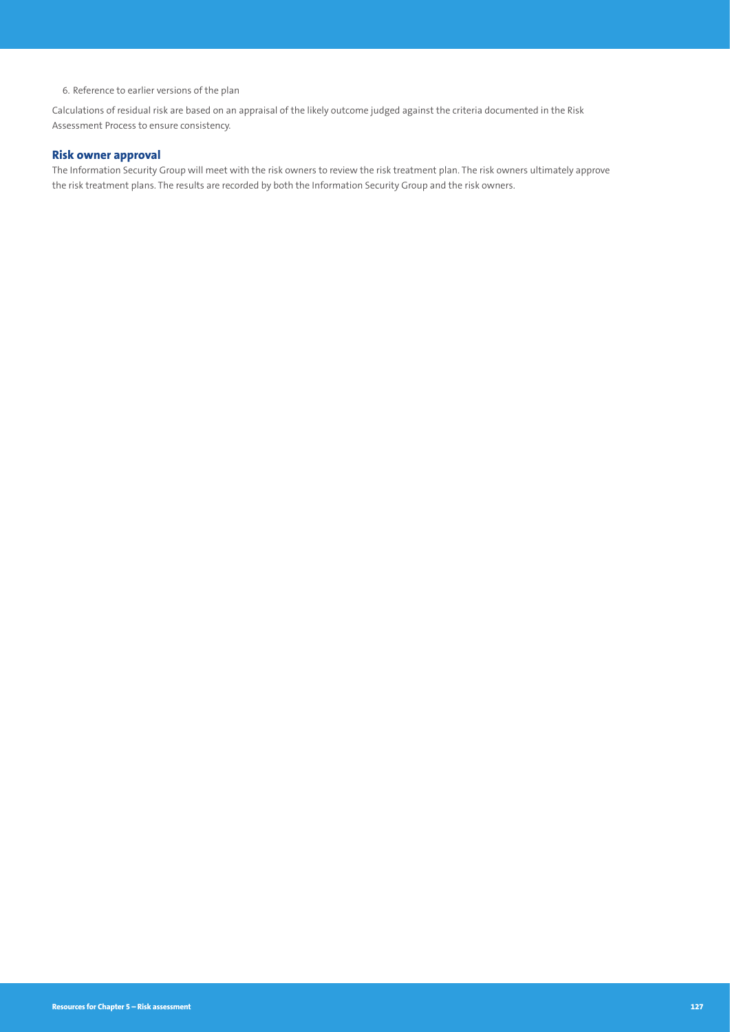6. Reference to earlier versions of the plan

Calculations of residual risk are based on an appraisal of the likely outcome judged against the criteria documented in the Risk Assessment Process to ensure consistency.

## **Risk owner approval**

The Information Security Group will meet with the risk owners to review the risk treatment plan. The risk owners ultimately approve the risk treatment plans. The results are recorded by both the Information Security Group and the risk owners.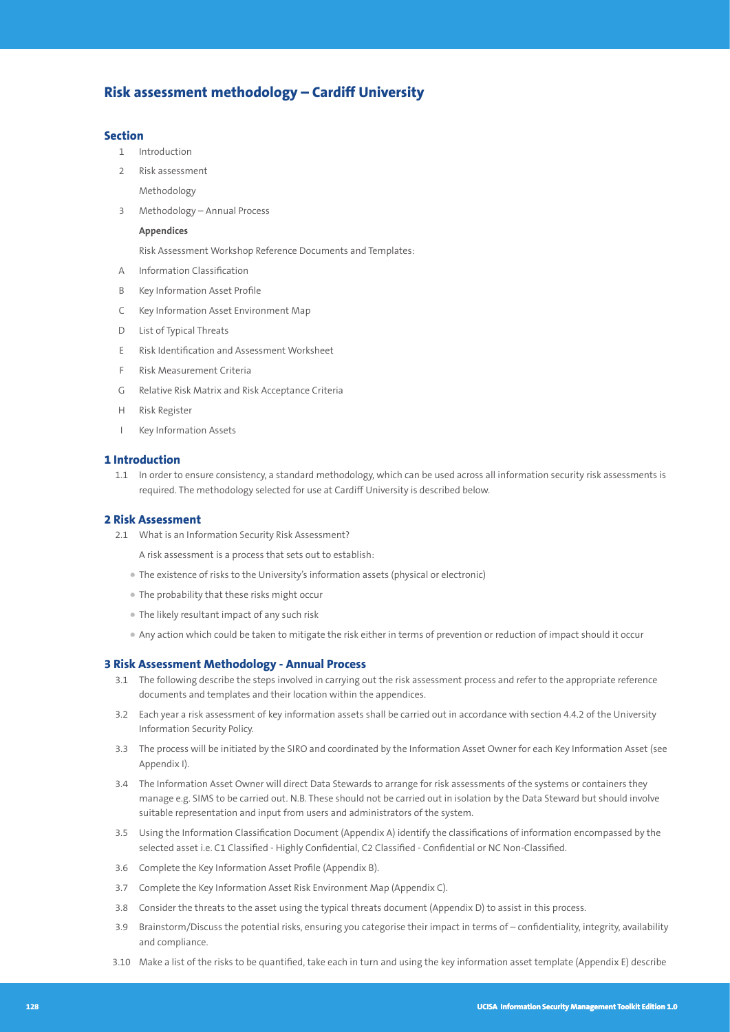# **Risk assessment methodology – Cardiff University**

#### **Section**

- 1 Introduction
- 2 Risk assessment
	- Methodology
- 3 Methodology Annual Process

#### **Appendices**

Risk Assessment Workshop Reference Documents and Templates:

- A Information Classification
- B Key Information Asset Profile
- C Key Information Asset Environment Map
- D List of Typical Threats
- E Risk Identification and Assessment Worksheet
- F Risk Measurement Criteria
- G Relative Risk Matrix and Risk Acceptance Criteria
- H Risk Register
- I Key Information Assets

#### **1 Introduction**

 1.1 In order to ensure consistency, a standard methodology, which can be used across all information security risk assessments is required. The methodology selected for use at Cardiff University is described below.

#### **2 Risk Assessment**

- 2.1 What is an Information Security Risk Assessment?
	- A risk assessment is a process that sets out to establish:
	- The existence of risks to the University's information assets (physical or electronic)
	- The probability that these risks might occur
	- The likely resultant impact of any such risk
	- Any action which could be taken to mitigate the risk either in terms of prevention or reduction of impact should it occur

#### **3 Risk Assessment Methodology - Annual Process**

- 3.1 The following describe the steps involved in carrying out the risk assessment process and refer to the appropriate reference documents and templates and their location within the appendices.
- 3.2 Each year a risk assessment of key information assets shall be carried out in accordance with section 4.4.2 of the University Information Security Policy.
- 3.3 The process will be initiated by the SIRO and coordinated by the Information Asset Owner for each Key Information Asset (see Appendix I).
- 3.4 The Information Asset Owner will direct Data Stewards to arrange for risk assessments of the systems or containers they manage e.g. SIMS to be carried out. N.B. These should not be carried out in isolation by the Data Steward but should involve suitable representation and input from users and administrators of the system.
- 3.5 Using the Information Classification Document (Appendix A) identify the classifications of information encompassed by the selected asset i.e. C1 Classified - Highly Confidential, C2 Classified - Confidential or NC Non-Classified.
- 3.6 Complete the Key Information Asset Profile (Appendix B).
- 3.7 Complete the Key Information Asset Risk Environment Map (Appendix C).
- 3.8 Consider the threats to the asset using the typical threats document (Appendix D) to assist in this process.
- 3.9 Brainstorm/Discuss the potential risks, ensuring you categorise their impact in terms of confidentiality, integrity, availability and compliance.
- 3.10 Make a list of the risks to be quantified, take each in turn and using the key information asset template (Appendix E) describe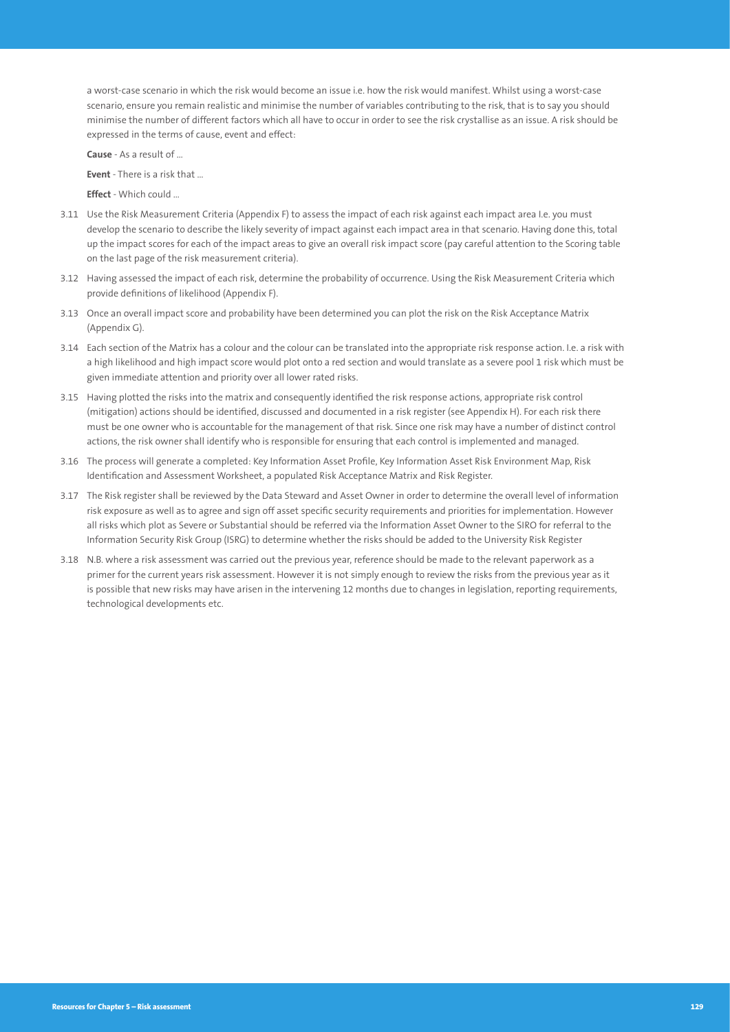a worst-case scenario in which the risk would become an issue i.e. how the risk would manifest. Whilst using a worst-case scenario, ensure you remain realistic and minimise the number of variables contributing to the risk, that is to say you should minimise the number of different factors which all have to occur in order to see the risk crystallise as an issue. A risk should be expressed in the terms of cause, event and effect:

**Cause** - As a result of …

**Event** - There is a risk that

**Effect** - Which could

- 3.11 Use the Risk Measurement Criteria (Appendix F) to assess the impact of each risk against each impact area I.e. you must develop the scenario to describe the likely severity of impact against each impact area in that scenario. Having done this, total up the impact scores for each of the impact areas to give an overall risk impact score (pay careful attention to the Scoring table on the last page of the risk measurement criteria).
- 3.12 Having assessed the impact of each risk, determine the probability of occurrence. Using the Risk Measurement Criteria which provide definitions of likelihood (Appendix F).
- 3.13 Once an overall impact score and probability have been determined you can plot the risk on the Risk Acceptance Matrix (Appendix G).
- 3.14 Each section of the Matrix has a colour and the colour can be translated into the appropriate risk response action. I.e. a risk with a high likelihood and high impact score would plot onto a red section and would translate as a severe pool 1 risk which must be given immediate attention and priority over all lower rated risks.
- 3.15 Having plotted the risks into the matrix and consequently identified the risk response actions, appropriate risk control (mitigation) actions should be identified, discussed and documented in a risk register (see Appendix H). For each risk there must be one owner who is accountable for the management of that risk. Since one risk may have a number of distinct control actions, the risk owner shall identify who is responsible for ensuring that each control is implemented and managed.
- 3.16 The process will generate a completed: Key Information Asset Profile, Key Information Asset Risk Environment Map, Risk Identification and Assessment Worksheet, a populated Risk Acceptance Matrix and Risk Register.
- 3.17 The Risk register shall be reviewed by the Data Steward and Asset Owner in order to determine the overall level of information risk exposure as well as to agree and sign off asset specific security requirements and priorities for implementation. However all risks which plot as Severe or Substantial should be referred via the Information Asset Owner to the SIRO for referral to the Information Security Risk Group (ISRG) to determine whether the risks should be added to the University Risk Register
- 3.18 N.B. where a risk assessment was carried out the previous year, reference should be made to the relevant paperwork as a primer for the current years risk assessment. However it is not simply enough to review the risks from the previous year as it is possible that new risks may have arisen in the intervening 12 months due to changes in legislation, reporting requirements, technological developments etc.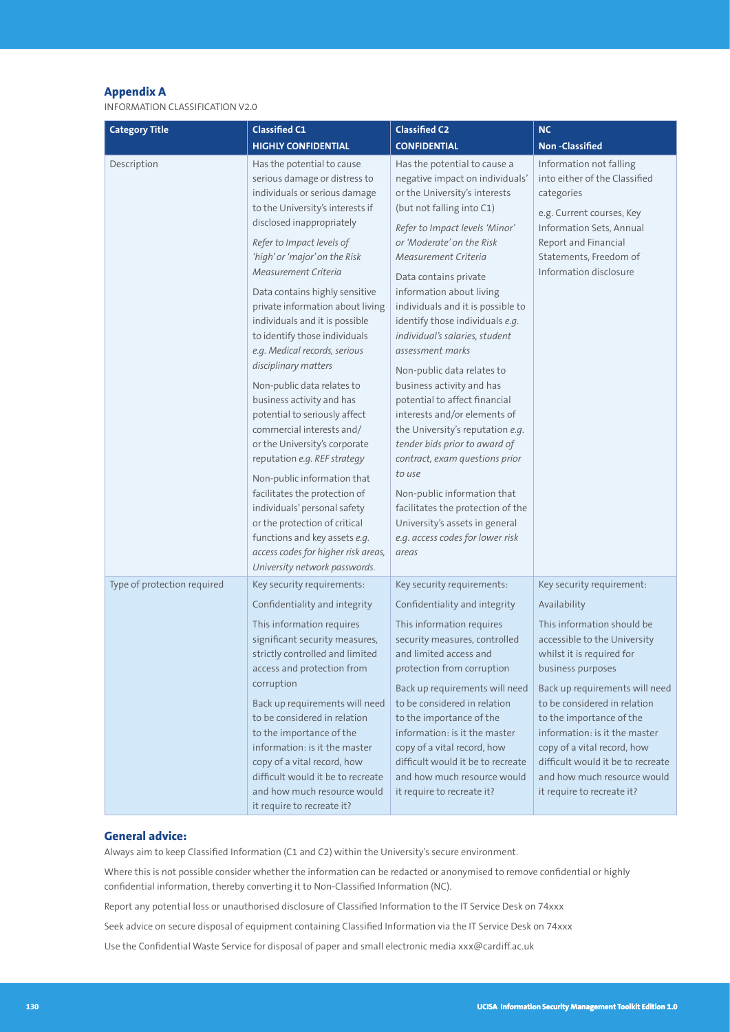#### **Appendix A**

INFORMATION CLASSIFICATION V2.0

| <b>Category Title</b>       | <b>Classified C1</b>                                                                                                                                                                                                                                                                                                                                                                                                                                                                                                                                                                                                                                                                                                                                                                                                                                                                      | <b>Classified C2</b>                                                                                                                                                                                                                                                                                                                                                                                                                                                                                                                                                                                                                                                                                                                                                                                    | <b>NC</b>                                                                                                                                                                                                                                                                                                                                                                                                                 |
|-----------------------------|-------------------------------------------------------------------------------------------------------------------------------------------------------------------------------------------------------------------------------------------------------------------------------------------------------------------------------------------------------------------------------------------------------------------------------------------------------------------------------------------------------------------------------------------------------------------------------------------------------------------------------------------------------------------------------------------------------------------------------------------------------------------------------------------------------------------------------------------------------------------------------------------|---------------------------------------------------------------------------------------------------------------------------------------------------------------------------------------------------------------------------------------------------------------------------------------------------------------------------------------------------------------------------------------------------------------------------------------------------------------------------------------------------------------------------------------------------------------------------------------------------------------------------------------------------------------------------------------------------------------------------------------------------------------------------------------------------------|---------------------------------------------------------------------------------------------------------------------------------------------------------------------------------------------------------------------------------------------------------------------------------------------------------------------------------------------------------------------------------------------------------------------------|
|                             | <b>HIGHLY CONFIDENTIAL</b>                                                                                                                                                                                                                                                                                                                                                                                                                                                                                                                                                                                                                                                                                                                                                                                                                                                                | <b>CONFIDENTIAL</b>                                                                                                                                                                                                                                                                                                                                                                                                                                                                                                                                                                                                                                                                                                                                                                                     | <b>Non-Classified</b>                                                                                                                                                                                                                                                                                                                                                                                                     |
| Description                 | Has the potential to cause<br>serious damage or distress to<br>individuals or serious damage<br>to the University's interests if<br>disclosed inappropriately<br>Refer to Impact levels of<br>'high' or 'major' on the Risk<br>Measurement Criteria<br>Data contains highly sensitive<br>private information about living<br>individuals and it is possible<br>to identify those individuals<br>e.g. Medical records, serious<br>disciplinary matters<br>Non-public data relates to<br>business activity and has<br>potential to seriously affect<br>commercial interests and/<br>or the University's corporate<br>reputation e.g. REF strategy<br>Non-public information that<br>facilitates the protection of<br>individuals' personal safety<br>or the protection of critical<br>functions and key assets e.g.<br>access codes for higher risk areas,<br>University network passwords. | Has the potential to cause a<br>negative impact on individuals'<br>or the University's interests<br>(but not falling into C1)<br>Refer to Impact levels 'Minor'<br>or 'Moderate' on the Risk<br>Measurement Criteria<br>Data contains private<br>information about living<br>individuals and it is possible to<br>identify those individuals e.g.<br>individual's salaries, student<br>assessment marks<br>Non-public data relates to<br>business activity and has<br>potential to affect financial<br>interests and/or elements of<br>the University's reputation e.g.<br>tender bids prior to award of<br>contract, exam questions prior<br>to use<br>Non-public information that<br>facilitates the protection of the<br>University's assets in general<br>e.g. access codes for lower risk<br>areas | Information not falling<br>into either of the Classified<br>categories<br>e.g. Current courses, Key<br>Information Sets, Annual<br>Report and Financial<br>Statements, Freedom of<br>Information disclosure                                                                                                                                                                                                               |
| Type of protection required | Key security requirements:<br>Confidentiality and integrity<br>This information requires<br>significant security measures,<br>strictly controlled and limited<br>access and protection from<br>corruption<br>Back up requirements will need<br>to be considered in relation<br>to the importance of the<br>information: is it the master<br>copy of a vital record, how<br>difficult would it be to recreate<br>and how much resource would<br>it require to recreate it?                                                                                                                                                                                                                                                                                                                                                                                                                 | Key security requirements:<br>Confidentiality and integrity<br>This information requires<br>security measures, controlled<br>and limited access and<br>protection from corruption<br>Back up requirements will need<br>to be considered in relation<br>to the importance of the<br>information: is it the master<br>copy of a vital record, how<br>difficult would it be to recreate<br>and how much resource would<br>it require to recreate it?                                                                                                                                                                                                                                                                                                                                                       | Key security requirement:<br>Availability<br>This information should be<br>accessible to the University<br>whilst it is required for<br>business purposes<br>Back up requirements will need<br>to be considered in relation<br>to the importance of the<br>information: is it the master<br>copy of a vital record, how<br>difficult would it be to recreate<br>and how much resource would<br>it require to recreate it? |

#### **General advice:**

Always aim to keep Classified Information (C1 and C2) within the University's secure environment.

Where this is not possible consider whether the information can be redacted or anonymised to remove confidential or highly confidential information, thereby converting it to Non-Classified Information (NC).

Report any potential loss or unauthorised disclosure of Classified Information to the IT Service Desk on 74xxx

Seek advice on secure disposal of equipment containing Classified Information via the IT Service Desk on 74xxx

Use the Confidential Waste Service for disposal of paper and small electronic media xxx@cardiff.ac.uk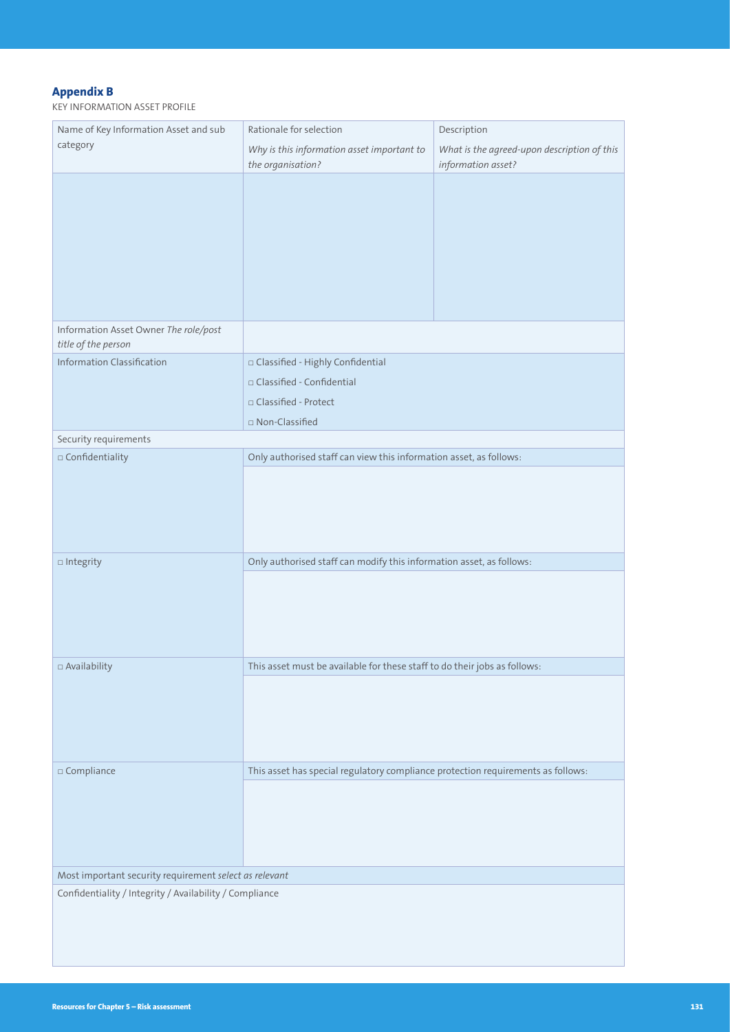# **Appendix B**

KEY INFORMATION ASSET PROFILE

| Name of Key Information Asset and sub                        | Rationale for selection                                                          | Description                                                       |  |  |  |  |
|--------------------------------------------------------------|----------------------------------------------------------------------------------|-------------------------------------------------------------------|--|--|--|--|
| category                                                     | Why is this information asset important to<br>the organisation?                  | What is the agreed-upon description of this<br>information asset? |  |  |  |  |
|                                                              |                                                                                  |                                                                   |  |  |  |  |
| Information Asset Owner The role/post<br>title of the person |                                                                                  |                                                                   |  |  |  |  |
| <b>Information Classification</b>                            | □ Classified - Highly Confidential                                               |                                                                   |  |  |  |  |
|                                                              | □ Classified - Confidential                                                      |                                                                   |  |  |  |  |
|                                                              | □ Classified - Protect                                                           |                                                                   |  |  |  |  |
|                                                              | □ Non-Classified                                                                 |                                                                   |  |  |  |  |
| Security requirements                                        |                                                                                  |                                                                   |  |  |  |  |
| $\square$ Confidentiality                                    | Only authorised staff can view this information asset, as follows:               |                                                                   |  |  |  |  |
| $\Box$ Integrity                                             | Only authorised staff can modify this information asset, as follows:             |                                                                   |  |  |  |  |
|                                                              |                                                                                  |                                                                   |  |  |  |  |
| □ Availability                                               | This asset must be available for these staff to do their jobs as follows:        |                                                                   |  |  |  |  |
|                                                              |                                                                                  |                                                                   |  |  |  |  |
| $\square$ Compliance                                         | This asset has special regulatory compliance protection requirements as follows: |                                                                   |  |  |  |  |
|                                                              |                                                                                  |                                                                   |  |  |  |  |
| Most important security requirement select as relevant       |                                                                                  |                                                                   |  |  |  |  |
| Confidentiality / Integrity / Availability / Compliance      |                                                                                  |                                                                   |  |  |  |  |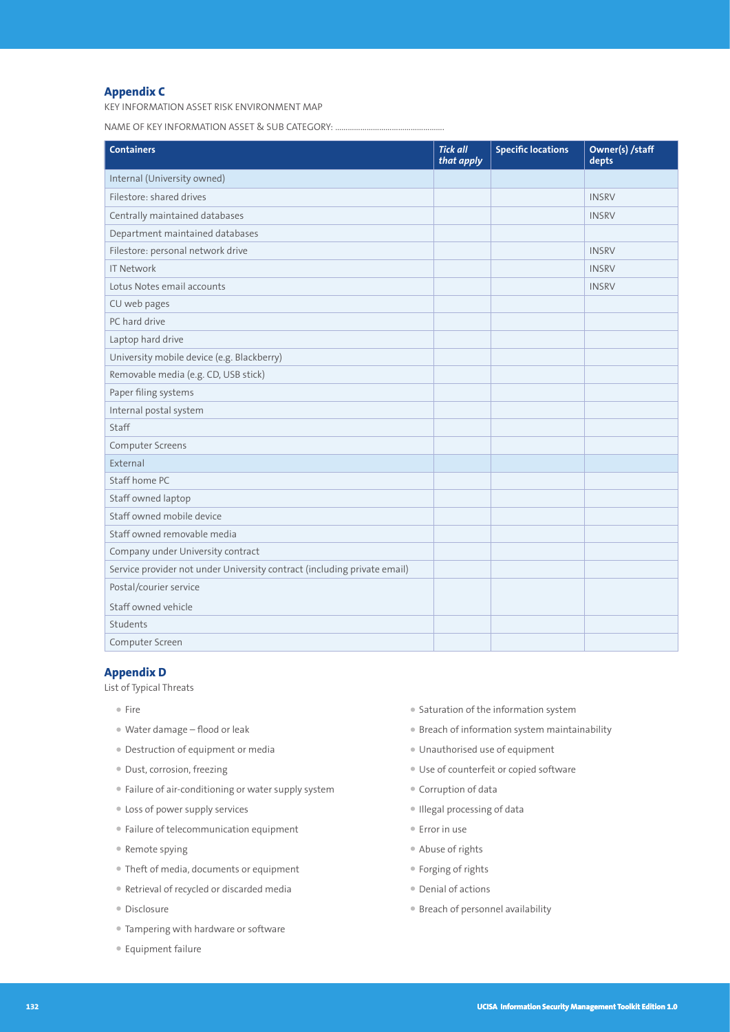# **Appendix C**

KEY INFORMATION ASSET RISK ENVIRONMENT MAP

NAME OF KEY INFORMATION ASSET & SUB CATEGORY: .....

| <b>Containers</b>                                                        | <b>Tick all</b><br>that apply | <b>Specific locations</b> | Owner(s) /staff<br>depts |
|--------------------------------------------------------------------------|-------------------------------|---------------------------|--------------------------|
| Internal (University owned)                                              |                               |                           |                          |
| Filestore: shared drives                                                 |                               |                           | <b>INSRV</b>             |
| Centrally maintained databases                                           |                               |                           | <b>INSRV</b>             |
| Department maintained databases                                          |                               |                           |                          |
| Filestore: personal network drive                                        |                               |                           | <b>INSRV</b>             |
| <b>IT Network</b>                                                        |                               |                           | <b>INSRV</b>             |
| Lotus Notes email accounts                                               |                               |                           | <b>INSRV</b>             |
| CU web pages                                                             |                               |                           |                          |
| PC hard drive                                                            |                               |                           |                          |
| Laptop hard drive                                                        |                               |                           |                          |
| University mobile device (e.g. Blackberry)                               |                               |                           |                          |
| Removable media (e.g. CD, USB stick)                                     |                               |                           |                          |
| Paper filing systems                                                     |                               |                           |                          |
| Internal postal system                                                   |                               |                           |                          |
| Staff                                                                    |                               |                           |                          |
| Computer Screens                                                         |                               |                           |                          |
| External                                                                 |                               |                           |                          |
| Staff home PC                                                            |                               |                           |                          |
| Staff owned laptop                                                       |                               |                           |                          |
| Staff owned mobile device                                                |                               |                           |                          |
| Staff owned removable media                                              |                               |                           |                          |
| Company under University contract                                        |                               |                           |                          |
| Service provider not under University contract (including private email) |                               |                           |                          |
| Postal/courier service                                                   |                               |                           |                          |
| Staff owned vehicle                                                      |                               |                           |                          |
| Students                                                                 |                               |                           |                          |
| Computer Screen                                                          |                               |                           |                          |

#### **Appendix D**

List of Typical Threats

- Fire
- Water damage flood or leak
- Destruction of equipment or media
- Dust, corrosion, freezing
- Failure of air-conditioning or water supply system
- Loss of power supply services
- Failure of telecommunication equipment
- Remote spying
- Theft of media, documents or equipment
- Retrieval of recycled or discarded media
- Disclosure
- Tampering with hardware or software
- Equipment failure
- Saturation of the information system
- Breach of information system maintainability
- Unauthorised use of equipment
- Use of counterfeit or copied software
- Corruption of data
- Illegal processing of data
- Error in use
- Abuse of rights
- Forging of rights
- Denial of actions
- Breach of personnel availability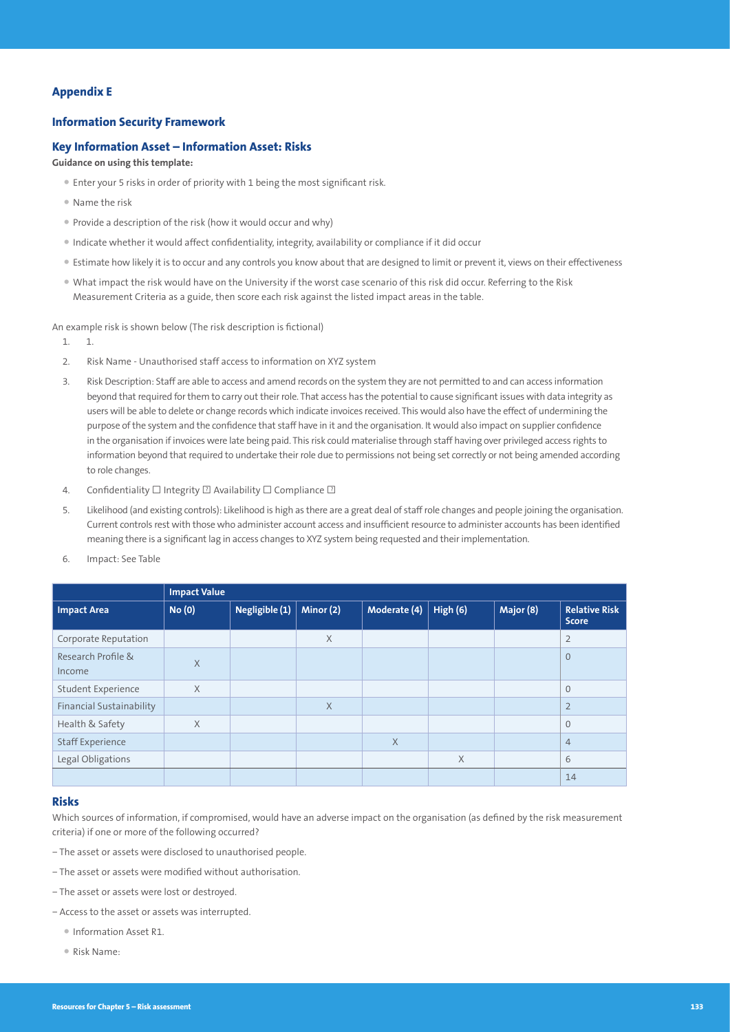## **Appendix E**

#### **Information Security Framework**

#### **Key Information Asset – Information Asset: Risks**

#### **Guidance on using this template:**

- Enter your 5 risks in order of priority with 1 being the most significant risk.
- Name the risk
- Provide a description of the risk (how it would occur and why)
- Indicate whether it would affect confidentiality, integrity, availability or compliance if it did occur
- Estimate how likely it is to occur and any controls you know about that are designed to limit or prevent it, views on their effectiveness
- What impact the risk would have on the University if the worst case scenario of this risk did occur. Referring to the Risk Measurement Criteria as a guide, then score each risk against the listed impact areas in the table.

An example risk is shown below (The risk description is fictional)

- 1. 1.
- 2. Risk Name Unauthorised staff access to information on XYZ system
- 3. Risk Description: Staff are able to access and amend records on the system they are not permitted to and can access information beyond that required for them to carry out their role. That access has the potential to cause significant issues with data integrity as users will be able to delete or change records which indicate invoices received. This would also have the effect of undermining the purpose of the system and the confidence that staff have in it and the organisation. It would also impact on supplier confidence in the organisation if invoices were late being paid. This risk could materialise through staff having over privileged access rights to information beyond that required to undertake their role due to permissions not being set correctly or not being amended according to role changes.
- 4. Confidentiality  $\square$  Integrity  $\square$  Availability  $\square$  Compliance  $\square$
- 5. Likelihood (and existing controls): Likelihood is high as there are a great deal of staff role changes and people joining the organisation. Current controls rest with those who administer account access and insufficient resource to administer accounts has been identified meaning there is a significant lag in access changes to XYZ system being requested and their implementation.
- 6. Impact: See Table

|                                 | <b>Impact Value</b> |                |           |              |          |           |                                      |
|---------------------------------|---------------------|----------------|-----------|--------------|----------|-----------|--------------------------------------|
| <b>Impact Area</b>              | <b>No (0)</b>       | Negligible (1) | Minor (2) | Moderate (4) | High (6) | Major (8) | <b>Relative Risk</b><br><b>Score</b> |
| Corporate Reputation            |                     |                | $\times$  |              |          |           | $\overline{2}$                       |
| Research Profile &<br>Income    | $\times$            |                |           |              |          |           | $\mathbf{0}$                         |
| <b>Student Experience</b>       | $\times$            |                |           |              |          |           | $\overline{0}$                       |
| <b>Financial Sustainability</b> |                     |                | X         |              |          |           | $\overline{2}$                       |
| Health & Safety                 | $\times$            |                |           |              |          |           | $\Omega$                             |
| <b>Staff Experience</b>         |                     |                |           | X            |          |           | $\overline{4}$                       |
| Legal Obligations               |                     |                |           |              | $\times$ |           | 6                                    |
|                                 |                     |                |           |              |          |           | 14                                   |

#### **Risks**

Which sources of information, if compromised, would have an adverse impact on the organisation (as defined by the risk measurement criteria) if one or more of the following occurred?

- − The asset or assets were disclosed to unauthorised people.
- − The asset or assets were modified without authorisation.
- − The asset or assets were lost or destroyed.
- − Access to the asset or assets was interrupted.
	- Information Asset R1.
	- Risk Name: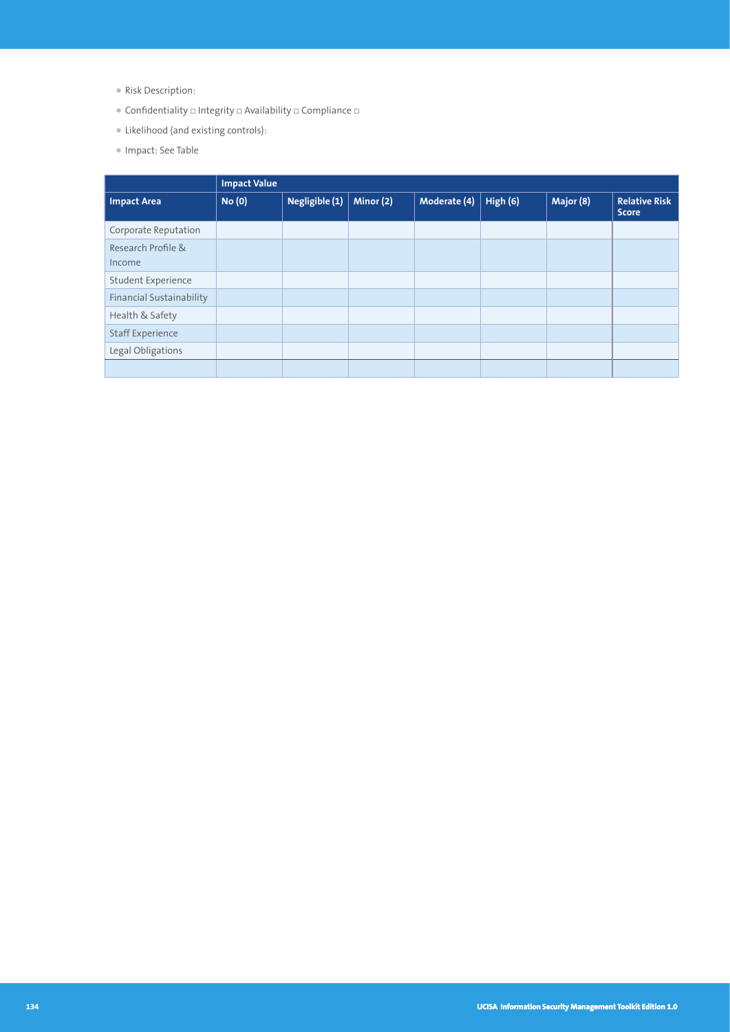- Risk Description:
- $\bullet$  Confidentiality  $\Box$  Integrity  $\Box$  Availability  $\Box$  Compliance  $\Box$
- Likelihood (and existing controls):
- Impact: See Table

|                          | <b>Impact Value</b> |                |           |              |          |           |                                      |
|--------------------------|---------------------|----------------|-----------|--------------|----------|-----------|--------------------------------------|
| <b>Impact Area</b>       | <b>No (0)</b>       | Negligible (1) | Minor (2) | Moderate (4) | High (6) | Major (8) | <b>Relative Risk</b><br><b>Score</b> |
| Corporate Reputation     |                     |                |           |              |          |           |                                      |
| Research Profile &       |                     |                |           |              |          |           |                                      |
| Income                   |                     |                |           |              |          |           |                                      |
| Student Experience       |                     |                |           |              |          |           |                                      |
| Financial Sustainability |                     |                |           |              |          |           |                                      |
| Health & Safety          |                     |                |           |              |          |           |                                      |
| <b>Staff Experience</b>  |                     |                |           |              |          |           |                                      |
| Legal Obligations        |                     |                |           |              |          |           |                                      |
|                          |                     |                |           |              |          |           |                                      |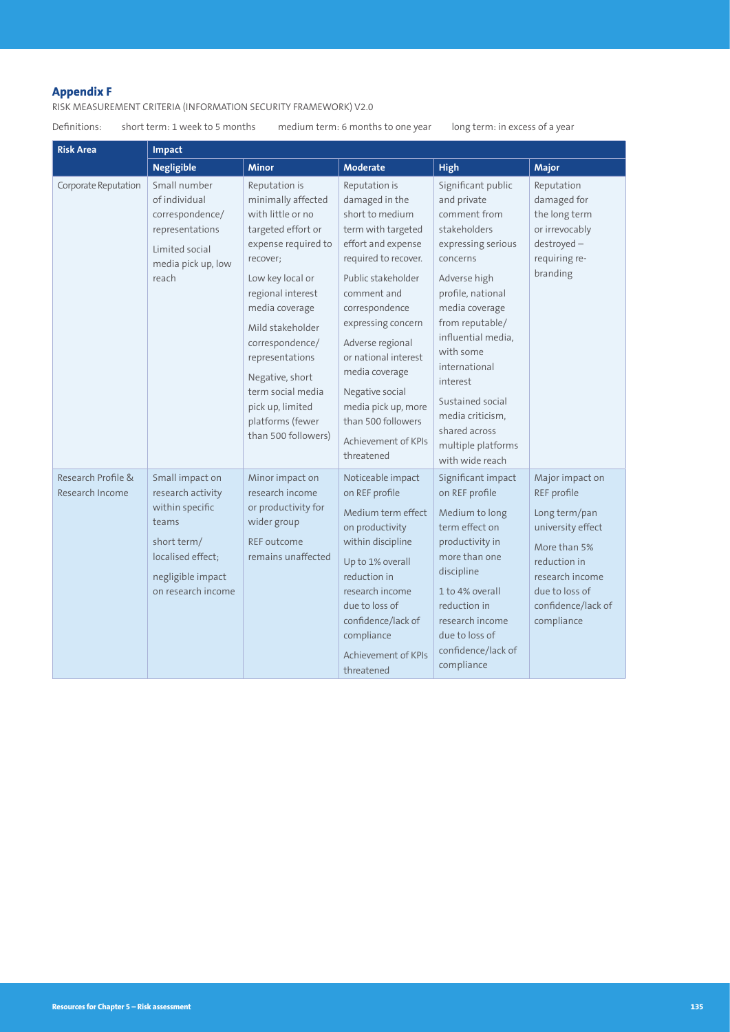# **Appendix F**

RISK MEASUREMENT CRITERIA (INFORMATION SECURITY FRAMEWORK) V2.0

Definitions: short term: 1 week to 5 months medium term: 6 months to one year long term: in excess of a year

| <b>Risk Area</b>                      | Impact                                                                                                                                          |                                                                                                                                                                                                                                                                                                                                               |                                                                                                                                                                                                                                                                                                                                                                        |                                                                                                                                                                                                                                                                                                                                                 |                                                                                                                                                                               |  |  |
|---------------------------------------|-------------------------------------------------------------------------------------------------------------------------------------------------|-----------------------------------------------------------------------------------------------------------------------------------------------------------------------------------------------------------------------------------------------------------------------------------------------------------------------------------------------|------------------------------------------------------------------------------------------------------------------------------------------------------------------------------------------------------------------------------------------------------------------------------------------------------------------------------------------------------------------------|-------------------------------------------------------------------------------------------------------------------------------------------------------------------------------------------------------------------------------------------------------------------------------------------------------------------------------------------------|-------------------------------------------------------------------------------------------------------------------------------------------------------------------------------|--|--|
|                                       | <b>Negligible</b>                                                                                                                               | <b>Minor</b>                                                                                                                                                                                                                                                                                                                                  | <b>Moderate</b>                                                                                                                                                                                                                                                                                                                                                        | <b>High</b>                                                                                                                                                                                                                                                                                                                                     | Major                                                                                                                                                                         |  |  |
| Corporate Reputation                  | Small number<br>of individual<br>correspondence/<br>representations<br>Limited social<br>media pick up, low<br>reach                            | Reputation is<br>minimally affected<br>with little or no<br>targeted effort or<br>expense required to<br>recover;<br>Low key local or<br>regional interest<br>media coverage<br>Mild stakeholder<br>correspondence/<br>representations<br>Negative, short<br>term social media<br>pick up, limited<br>platforms (fewer<br>than 500 followers) | Reputation is<br>damaged in the<br>short to medium<br>term with targeted<br>effort and expense<br>required to recover.<br>Public stakeholder<br>comment and<br>correspondence<br>expressing concern<br>Adverse regional<br>or national interest<br>media coverage<br>Negative social<br>media pick up, more<br>than 500 followers<br>Achievement of KPIs<br>threatened | Significant public<br>and private<br>comment from<br>stakeholders<br>expressing serious<br>concerns<br>Adverse high<br>profile, national<br>media coverage<br>from reputable/<br>influential media,<br>with some<br>international<br>interest<br>Sustained social<br>media criticism,<br>shared across<br>multiple platforms<br>with wide reach | Reputation<br>damaged for<br>the long term<br>or irrevocably<br>$destroyed -$<br>requiring re-<br>branding                                                                    |  |  |
| Research Profile &<br>Research Income | Small impact on<br>research activity<br>within specific<br>teams<br>short term/<br>localised effect:<br>negligible impact<br>on research income | Minor impact on<br>research income<br>or productivity for<br>wider group<br>REF outcome<br>remains unaffected                                                                                                                                                                                                                                 | Noticeable impact<br>on REF profile<br>Medium term effect<br>on productivity<br>within discipline<br>Up to 1% overall<br>reduction in<br>research income<br>due to loss of<br>confidence/lack of<br>compliance<br>Achievement of KPIs<br>threatened                                                                                                                    | Significant impact<br>on REF profile<br>Medium to long<br>term effect on<br>productivity in<br>more than one<br>discipline<br>1 to 4% overall<br>reduction in<br>research income<br>due to loss of<br>confidence/lack of<br>compliance                                                                                                          | Major impact on<br>REF profile<br>Long term/pan<br>university effect<br>More than 5%<br>reduction in<br>research income<br>due to loss of<br>confidence/lack of<br>compliance |  |  |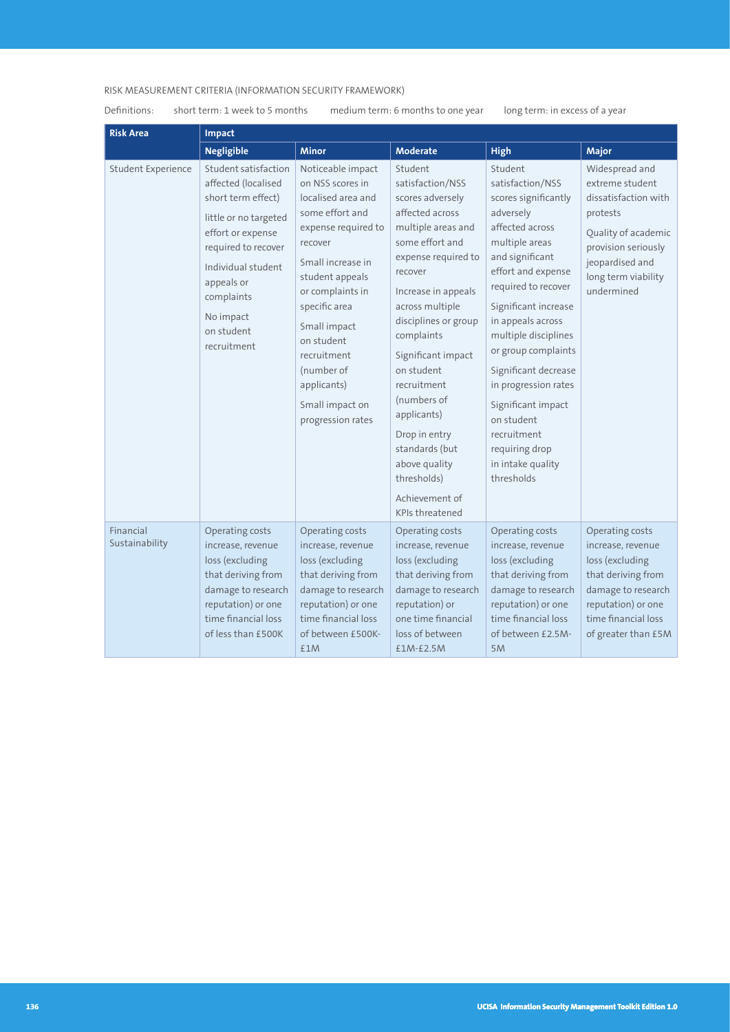# RISK MEASUREMENT CRITERIA (INFORMATION SECURITY FRAMEWORK)

Definitions: short term: 1 week to 5 months medium term: 6 months to one year long term: in excess of a year

| <b>Risk Area</b>            | Impact                                                                                                                                                                                                                             |                                                                                                                                                                                                                                                                                                                 |                                                                                                                                                                                                                                                                                                                                                                                                                               |                                                                                                                                                                                                                                                                                                                                                                                                                           |                                                                                                                                                                             |  |  |
|-----------------------------|------------------------------------------------------------------------------------------------------------------------------------------------------------------------------------------------------------------------------------|-----------------------------------------------------------------------------------------------------------------------------------------------------------------------------------------------------------------------------------------------------------------------------------------------------------------|-------------------------------------------------------------------------------------------------------------------------------------------------------------------------------------------------------------------------------------------------------------------------------------------------------------------------------------------------------------------------------------------------------------------------------|---------------------------------------------------------------------------------------------------------------------------------------------------------------------------------------------------------------------------------------------------------------------------------------------------------------------------------------------------------------------------------------------------------------------------|-----------------------------------------------------------------------------------------------------------------------------------------------------------------------------|--|--|
|                             | <b>Negligible</b>                                                                                                                                                                                                                  | <b>Minor</b>                                                                                                                                                                                                                                                                                                    | <b>Moderate</b>                                                                                                                                                                                                                                                                                                                                                                                                               | <b>High</b>                                                                                                                                                                                                                                                                                                                                                                                                               | Major                                                                                                                                                                       |  |  |
| Student Experience          | Student satisfaction<br>affected (localised<br>short term effect)<br>little or no targeted<br>effort or expense<br>required to recover<br>Individual student<br>appeals or<br>complaints<br>No impact<br>on student<br>recruitment | Noticeable impact<br>on NSS scores in<br>localised area and<br>some effort and<br>expense required to<br>recover<br>Small increase in<br>student appeals<br>or complaints in<br>specific area<br>Small impact<br>on student<br>recruitment<br>(number of<br>applicants)<br>Small impact on<br>progression rates | Student<br>satisfaction/NSS<br>scores adversely<br>affected across<br>multiple areas and<br>some effort and<br>expense required to<br>recover<br>Increase in appeals<br>across multiple<br>disciplines or group<br>complaints<br>Significant impact<br>on student<br>recruitment<br>(numbers of<br>applicants)<br>Drop in entry<br>standards (but<br>above quality<br>thresholds)<br>Achievement of<br><b>KPIs threatened</b> | Student<br>satisfaction/NSS<br>scores significantly<br>adversely<br>affected across<br>multiple areas<br>and significant<br>effort and expense<br>required to recover<br>Significant increase<br>in appeals across<br>multiple disciplines<br>or group complaints<br>Significant decrease<br>in progression rates<br>Significant impact<br>on student<br>recruitment<br>requiring drop<br>in intake quality<br>thresholds | Widespread and<br>extreme student<br>dissatisfaction with<br>protests<br>Quality of academic<br>provision seriously<br>jeopardised and<br>long term viability<br>undermined |  |  |
| Financial<br>Sustainability | Operating costs<br>increase, revenue<br>loss (excluding<br>that deriving from<br>damage to research<br>reputation) or one<br>time financial loss<br>of less than £500K                                                             | Operating costs<br>increase, revenue<br>loss (excluding<br>that deriving from<br>damage to research<br>reputation) or one<br>time financial loss<br>of between £500K-<br>£1M                                                                                                                                    | Operating costs<br>increase, revenue<br>loss (excluding<br>that deriving from<br>damage to research<br>reputation) or<br>one time financial<br>loss of between<br>£1M-£2.5M                                                                                                                                                                                                                                                   | Operating costs<br>increase, revenue<br>loss (excluding<br>that deriving from<br>damage to research<br>reputation) or one<br>time financial loss<br>of between £2.5M-<br>5M                                                                                                                                                                                                                                               | Operating costs<br>increase, revenue<br>loss (excluding<br>that deriving from<br>damage to research<br>reputation) or one<br>time financial loss<br>of greater than £5M     |  |  |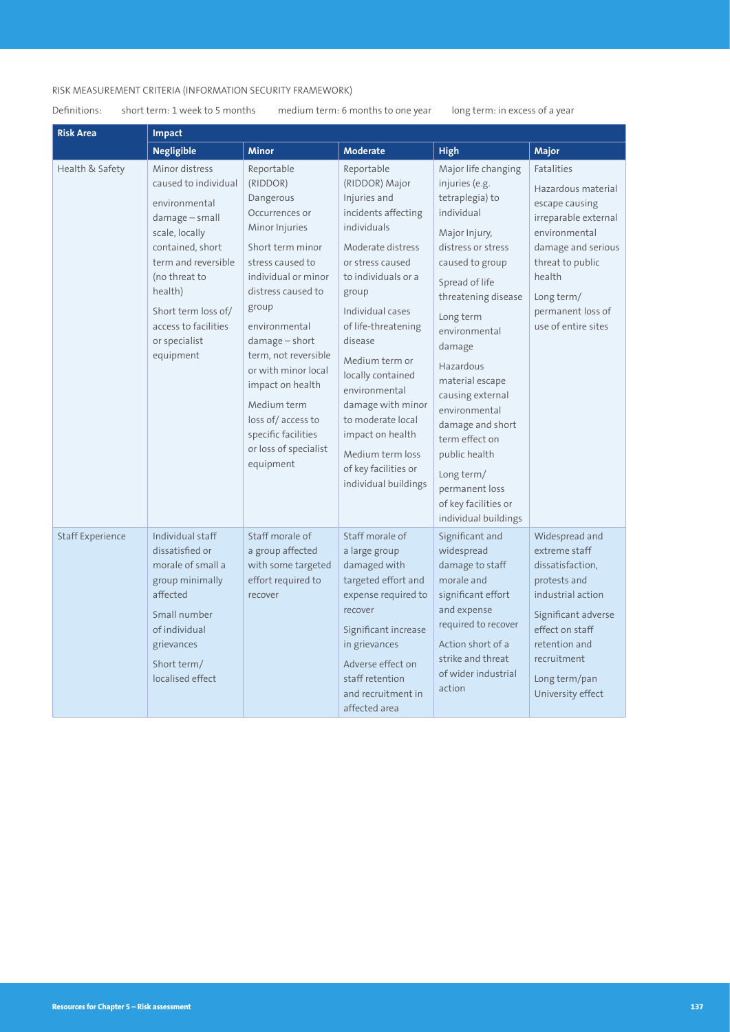# RISK MEASUREMENT CRITERIA (INFORMATION SECURITY FRAMEWORK)

# Definitions: short term: 1 week to 5 months medium term: 6 months to one year long term: in excess of a year

| <b>Risk Area</b>        | Impact                                                                                                                                                                                                                                             |                                                                                                                                                                                                                                                                                                                                                                                 |                                                                                                                                                                                                                                                                                                                                                                                                             |                                                                                                                                                                                                                                                                                                                                                                                                                               |                                                                                                                                                                                                                  |  |  |
|-------------------------|----------------------------------------------------------------------------------------------------------------------------------------------------------------------------------------------------------------------------------------------------|---------------------------------------------------------------------------------------------------------------------------------------------------------------------------------------------------------------------------------------------------------------------------------------------------------------------------------------------------------------------------------|-------------------------------------------------------------------------------------------------------------------------------------------------------------------------------------------------------------------------------------------------------------------------------------------------------------------------------------------------------------------------------------------------------------|-------------------------------------------------------------------------------------------------------------------------------------------------------------------------------------------------------------------------------------------------------------------------------------------------------------------------------------------------------------------------------------------------------------------------------|------------------------------------------------------------------------------------------------------------------------------------------------------------------------------------------------------------------|--|--|
|                         | <b>Negligible</b>                                                                                                                                                                                                                                  | <b>Minor</b>                                                                                                                                                                                                                                                                                                                                                                    | <b>Moderate</b>                                                                                                                                                                                                                                                                                                                                                                                             | <b>High</b>                                                                                                                                                                                                                                                                                                                                                                                                                   | Major                                                                                                                                                                                                            |  |  |
| Health & Safety         | Minor distress<br>caused to individual<br>environmental<br>$d$ amage – small<br>scale, locally<br>contained, short<br>term and reversible<br>(no threat to<br>health)<br>Short term loss of/<br>access to facilities<br>or specialist<br>equipment | Reportable<br>(RIDDOR)<br>Dangerous<br>Occurrences or<br>Minor Injuries<br>Short term minor<br>stress caused to<br>individual or minor<br>distress caused to<br>group<br>environmental<br>$d$ amage – short<br>term, not reversible<br>or with minor local<br>impact on health<br>Medium term<br>loss of/access to<br>specific facilities<br>or loss of specialist<br>equipment | Reportable<br>(RIDDOR) Major<br>Injuries and<br>incidents affecting<br>individuals<br>Moderate distress<br>or stress caused<br>to individuals or a<br>group<br>Individual cases<br>of life-threatening<br>disease<br>Medium term or<br>locally contained<br>environmental<br>damage with minor<br>to moderate local<br>impact on health<br>Medium term loss<br>of key facilities or<br>individual buildings | Major life changing<br>injuries (e.g.<br>tetraplegia) to<br>individual<br>Major Injury,<br>distress or stress<br>caused to group<br>Spread of life<br>threatening disease<br>Long term<br>environmental<br>damage<br>Hazardous<br>material escape<br>causing external<br>environmental<br>damage and short<br>term effect on<br>public health<br>Long term/<br>permanent loss<br>of key facilities or<br>individual buildings | <b>Fatalities</b><br>Hazardous material<br>escape causing<br>irreparable external<br>environmental<br>damage and serious<br>threat to public<br>health<br>Long term/<br>permanent loss of<br>use of entire sites |  |  |
| <b>Staff Experience</b> | Individual staff<br>dissatisfied or<br>morale of small a<br>group minimally<br>affected<br>Small number<br>of individual<br>grievances<br>Short term/<br>localised effect                                                                          | Staff morale of<br>a group affected<br>with some targeted<br>effort required to<br>recover                                                                                                                                                                                                                                                                                      | Staff morale of<br>a large group<br>damaged with<br>targeted effort and<br>expense required to<br>recover<br>Significant increase<br>in grievances<br>Adverse effect on<br>staff retention<br>and recruitment in<br>affected area                                                                                                                                                                           | Significant and<br>widespread<br>damage to staff<br>morale and<br>significant effort<br>and expense<br>required to recover<br>Action short of a<br>strike and threat<br>of wider industrial<br>action                                                                                                                                                                                                                         | Widespread and<br>extreme staff<br>dissatisfaction,<br>protests and<br>industrial action<br>Significant adverse<br>effect on staff<br>retention and<br>recruitment<br>Long term/pan<br>University effect         |  |  |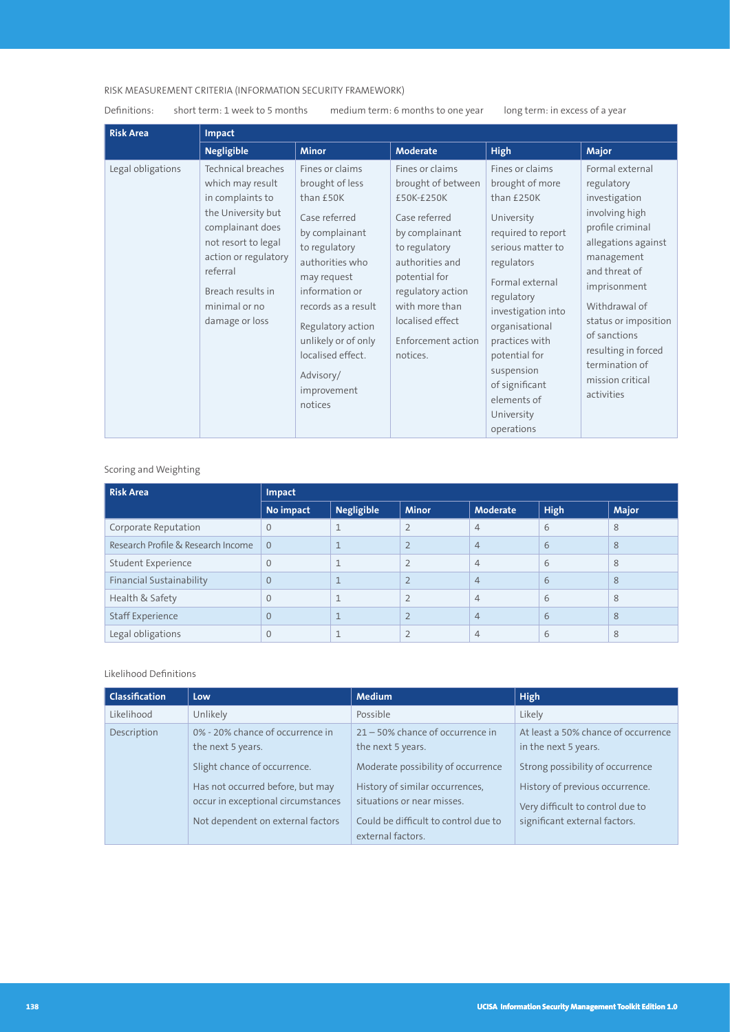# RISK MEASUREMENT CRITERIA (INFORMATION SECURITY FRAMEWORK)

Definitions: short term: 1 week to 5 months medium term: 6 months to one year long term: in excess of a year

| <b>Risk Area</b>  | <b>Impact</b>                                                                                                                                                                                                                  |                                                                                                                                                                                                                                                                                        |                                                                                                                                                                                                                                          |                                                                                                                                                                                                                                                                                                                |                                                                                                                                                                                                                                                                                                |  |  |
|-------------------|--------------------------------------------------------------------------------------------------------------------------------------------------------------------------------------------------------------------------------|----------------------------------------------------------------------------------------------------------------------------------------------------------------------------------------------------------------------------------------------------------------------------------------|------------------------------------------------------------------------------------------------------------------------------------------------------------------------------------------------------------------------------------------|----------------------------------------------------------------------------------------------------------------------------------------------------------------------------------------------------------------------------------------------------------------------------------------------------------------|------------------------------------------------------------------------------------------------------------------------------------------------------------------------------------------------------------------------------------------------------------------------------------------------|--|--|
|                   | <b>Negligible</b>                                                                                                                                                                                                              | <b>Minor</b>                                                                                                                                                                                                                                                                           | <b>Moderate</b>                                                                                                                                                                                                                          | <b>High</b>                                                                                                                                                                                                                                                                                                    | <b>Major</b>                                                                                                                                                                                                                                                                                   |  |  |
| Legal obligations | <b>Technical breaches</b><br>which may result<br>in complaints to<br>the University but<br>complainant does<br>not resort to legal<br>action or regulatory<br>referral<br>Breach results in<br>minimal or no<br>damage or loss | Fines or claims<br>brought of less<br>than £50K<br>Case referred<br>by complainant<br>to regulatory<br>authorities who<br>may request<br>information or<br>records as a result<br>Regulatory action<br>unlikely or of only<br>localised effect.<br>Advisory/<br>improvement<br>notices | Fines or claims<br>brought of between<br>£50K-£250K<br>Case referred<br>by complainant<br>to regulatory<br>authorities and<br>potential for<br>regulatory action<br>with more than<br>localised effect<br>Enforcement action<br>notices. | Fines or claims<br>brought of more<br>than £250K<br>University<br>required to report<br>serious matter to<br>regulators<br>Formal external<br>regulatory<br>investigation into<br>organisational<br>practices with<br>potential for<br>suspension<br>of significant<br>elements of<br>University<br>operations | Formal external<br>regulatory<br>investigation<br>involving high<br>profile criminal<br>allegations against<br>management<br>and threat of<br>imprisonment<br>Withdrawal of<br>status or imposition<br>of sanctions<br>resulting in forced<br>termination of<br>mission critical<br>activities |  |  |

# Scoring and Weighting

| <b>Risk Area</b>                   | Impact         |                   |                |                |             |              |  |
|------------------------------------|----------------|-------------------|----------------|----------------|-------------|--------------|--|
|                                    | No impact      | <b>Negligible</b> | <b>Minor</b>   | Moderate       | <b>High</b> | <b>Major</b> |  |
| Corporate Reputation               | $\Omega$       |                   | $\bigcap$      | $\overline{4}$ | 6           | 8            |  |
| Research Profile & Research Income | $\Omega$       |                   | $\bigcap$      | $\overline{4}$ | 6           | 8            |  |
| Student Experience                 | $\Omega$       | $\mathbf{I}$      | $\overline{2}$ | $\overline{4}$ | 6           | 8            |  |
| <b>Financial Sustainability</b>    | $\overline{0}$ |                   |                | $\overline{4}$ | 6           | 8            |  |
| Health & Safety                    | $\Omega$       |                   | $\overline{2}$ | $\overline{4}$ | 6           | 8            |  |
| <b>Staff Experience</b>            | $\Omega$       |                   |                | $\overline{4}$ | 6           | 8            |  |
| Legal obligations                  | 0              |                   |                | $\overline{4}$ | 6           | 8            |  |

#### Likelihood Definitions

| <b>Classification</b> | Low                                                                                                                                                                                                  | <b>Medium</b>                                                                                                                                                                                                                | <b>High</b>                                                                                                                                                                                             |
|-----------------------|------------------------------------------------------------------------------------------------------------------------------------------------------------------------------------------------------|------------------------------------------------------------------------------------------------------------------------------------------------------------------------------------------------------------------------------|---------------------------------------------------------------------------------------------------------------------------------------------------------------------------------------------------------|
| Likelihood            | Unlikely                                                                                                                                                                                             | Possible                                                                                                                                                                                                                     | Likely                                                                                                                                                                                                  |
| Description           | 0% - 20% chance of occurrence in<br>the next 5 years.<br>Slight chance of occurrence.<br>Has not occurred before, but may<br>occur in exceptional circumstances<br>Not dependent on external factors | $21 - 50\%$ chance of occurrence in<br>the next 5 years.<br>Moderate possibility of occurrence<br>History of similar occurrences,<br>situations or near misses.<br>Could be difficult to control due to<br>external factors. | At least a 50% chance of occurrence<br>in the next 5 years.<br>Strong possibility of occurrence<br>History of previous occurrence.<br>Very difficult to control due to<br>significant external factors. |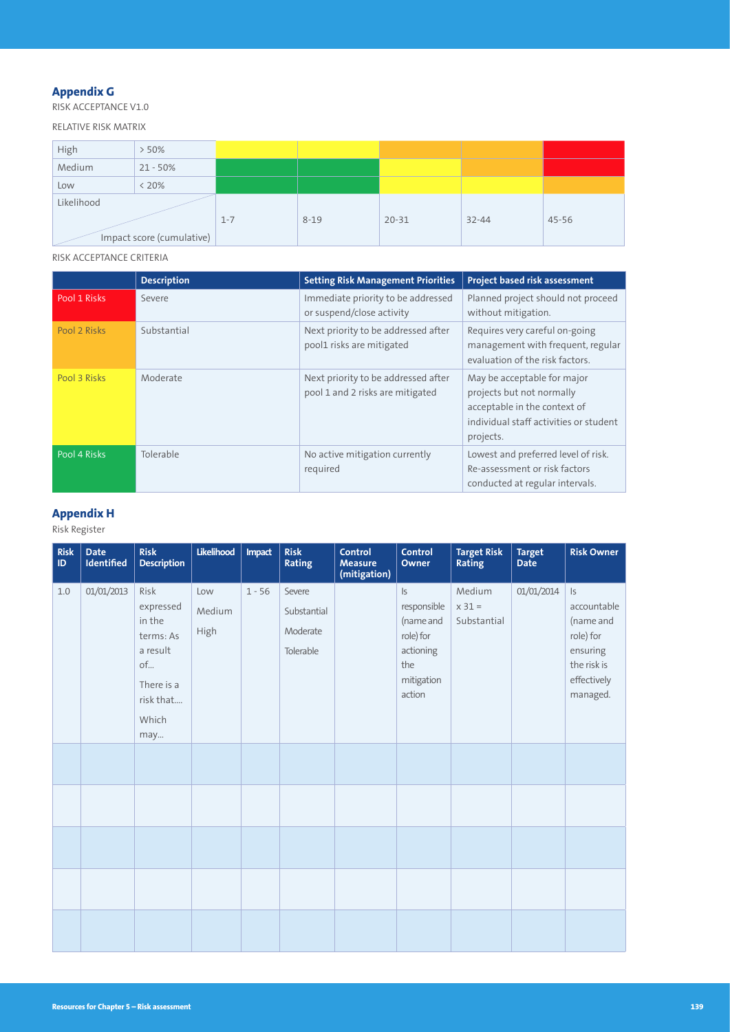# **Appendix G**

RISK ACCEPTANCE V1.0

RELATIVE RISK MATRIX

| High       | $>50\%$                   |         |          |           |           |       |
|------------|---------------------------|---------|----------|-----------|-----------|-------|
| Medium     | $21 - 50%$                |         |          |           |           |       |
| Low        | $< 20\%$                  |         |          |           |           |       |
| Likelihood |                           |         |          |           |           |       |
|            |                           | $1 - 7$ | $8 - 19$ | $20 - 31$ | $32 - 44$ | 45-56 |
|            | Impact score (cumulative) |         |          |           |           |       |

RISK ACCEPTANCE CRITERIA

|              | <b>Description</b> | <b>Setting Risk Management Priorities</b>                               | Project based risk assessment                                                                                                                   |
|--------------|--------------------|-------------------------------------------------------------------------|-------------------------------------------------------------------------------------------------------------------------------------------------|
| Pool 1 Risks | Severe             | Immediate priority to be addressed<br>or suspend/close activity         | Planned project should not proceed<br>without mitigation.                                                                                       |
| Pool 2 Risks | Substantial        | Next priority to be addressed after<br>pool1 risks are mitigated        | Requires very careful on-going<br>management with frequent, regular<br>evaluation of the risk factors.                                          |
| Pool 3 Risks | Moderate           | Next priority to be addressed after<br>pool 1 and 2 risks are mitigated | May be acceptable for major<br>projects but not normally<br>acceptable in the context of<br>individual staff activities or student<br>projects. |
| Pool 4 Risks | Tolerable          | No active mitigation currently<br>required                              | Lowest and preferred level of risk.<br>Re-assessment or risk factors<br>conducted at regular intervals.                                         |

## **Appendix H**

Risk Register

| <b>Risk</b><br>ID. | <b>Date</b><br>Identified | <b>Risk</b><br><b>Description</b>                                                                     | Likelihood            | Impact   | <b>Risk</b><br><b>Rating</b>                   | <b>Control</b><br><b>Measure</b><br>(mitigation) | <b>Control</b><br>Owner                                                                           | <b>Target Risk</b><br><b>Rating</b> | <b>Target</b><br><b>Date</b> | <b>Risk Owner</b>                                                                                           |
|--------------------|---------------------------|-------------------------------------------------------------------------------------------------------|-----------------------|----------|------------------------------------------------|--------------------------------------------------|---------------------------------------------------------------------------------------------------|-------------------------------------|------------------------------|-------------------------------------------------------------------------------------------------------------|
| 1.0                | 01/01/2013                | Risk<br>expressed<br>in the<br>terms: As<br>a result<br>of<br>There is a<br>risk that<br>Which<br>may | Low<br>Medium<br>High | $1 - 56$ | Severe<br>Substantial<br>Moderate<br>Tolerable |                                                  | $\mathsf{I}$<br>responsible<br>(name and<br>role) for<br>actioning<br>the<br>mitigation<br>action | Medium<br>$x 31 =$<br>Substantial   | 01/01/2014                   | $\mathsf{I}$<br>accountable<br>(name and<br>role) for<br>ensuring<br>the risk is<br>effectively<br>managed. |
|                    |                           |                                                                                                       |                       |          |                                                |                                                  |                                                                                                   |                                     |                              |                                                                                                             |
|                    |                           |                                                                                                       |                       |          |                                                |                                                  |                                                                                                   |                                     |                              |                                                                                                             |
|                    |                           |                                                                                                       |                       |          |                                                |                                                  |                                                                                                   |                                     |                              |                                                                                                             |
|                    |                           |                                                                                                       |                       |          |                                                |                                                  |                                                                                                   |                                     |                              |                                                                                                             |
|                    |                           |                                                                                                       |                       |          |                                                |                                                  |                                                                                                   |                                     |                              |                                                                                                             |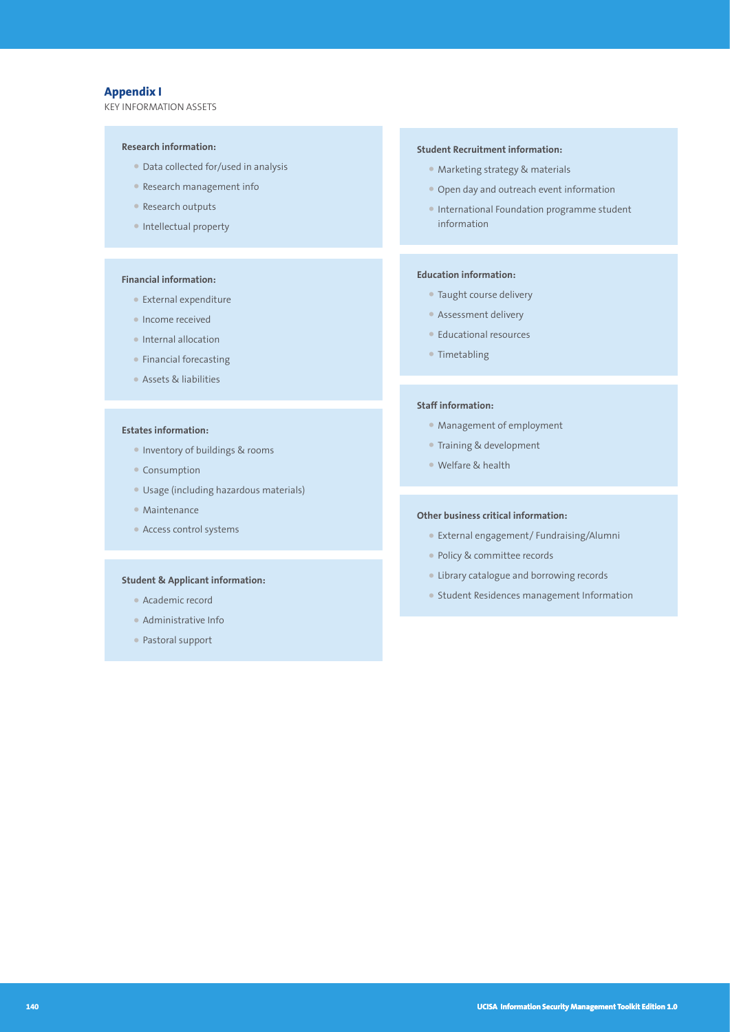# **Appendix I**

KEY INFORMATION ASSETS

#### **Research information:**

- Data collected for/used in analysis
- Research management info
- Research outputs
- Intellectual property

#### **Financial information:**

- External expenditure
- Income received
- Internal allocation
- Financial forecasting
- Assets & liabilities

#### **Estates information:**

- Inventory of buildings & rooms
- Consumption
- Usage (including hazardous materials)
- Maintenance
- Access control systems

#### **Student & Applicant information:**

- Academic record
- Administrative Info
- Pastoral support

#### **Student Recruitment information:**

- Marketing strategy & materials
- Open day and outreach event information
- International Foundation programme student information

#### **Education information:**

- Taught course delivery
- Assessment delivery
- Educational resources
- Timetabling

#### **Staff information:**

- Management of employment
- Training & development
- Welfare & health

#### **Other business critical information:**

- External engagement/ Fundraising/Alumni
- Policy & committee records
- Library catalogue and borrowing records
- Student Residences management Information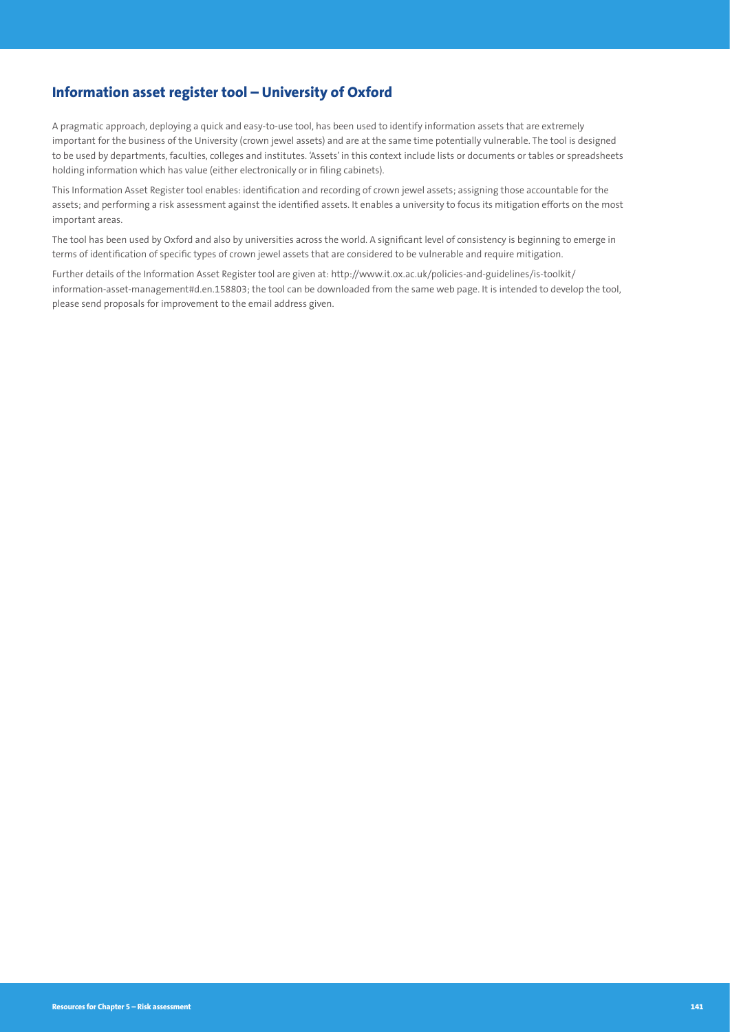# **Information asset register tool – University of Oxford**

A pragmatic approach, deploying a quick and easy-to-use tool, has been used to identify information assets that are extremely important for the business of the University (crown jewel assets) and are at the same time potentially vulnerable. The tool is designed to be used by departments, faculties, colleges and institutes. 'Assets' in this context include lists or documents or tables or spreadsheets holding information which has value (either electronically or in filing cabinets).

This Information Asset Register tool enables: identification and recording of crown jewel assets; assigning those accountable for the assets; and performing a risk assessment against the identified assets. It enables a university to focus its mitigation efforts on the most important areas.

The tool has been used by Oxford and also by universities across the world. A significant level of consistency is beginning to emerge in terms of identification of specific types of crown jewel assets that are considered to be vulnerable and require mitigation.

Further details of the Information Asset Register tool are given at: [http://www.it.ox.ac.uk/policies-and-guidelines/is-toolkit/](http://www.it.ox.ac.uk/policies-and-guidelines/is-toolkit/information-asset-management#d.en.158803) [information-asset-management#d.en.158803;](http://www.it.ox.ac.uk/policies-and-guidelines/is-toolkit/information-asset-management#d.en.158803) the tool can be downloaded from the same web page. It is intended to develop the tool, please send proposals for improvement to the email address given.